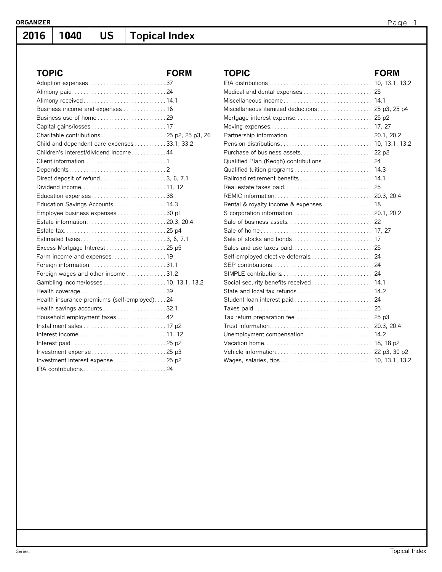**2016**

# **1040 US Topical Index**

| TOPIC                                                                                                     | <b>FORM</b> | TOPIC                    |
|-----------------------------------------------------------------------------------------------------------|-------------|--------------------------|
|                                                                                                           |             | IRA distributions        |
|                                                                                                           |             | Medical and dental       |
|                                                                                                           |             | Miscellaneous inco       |
| Business income and expenses  16                                                                          |             | Miscellaneous item       |
|                                                                                                           |             | Mortgage interest e      |
|                                                                                                           |             | Moving expenses.         |
|                                                                                                           |             | Partnership informa      |
| Child and dependent care expenses 33.1, 33.2                                                              |             | Pension distribution     |
| Children's interest/dividend income 44                                                                    |             | Purchase of busine       |
|                                                                                                           |             | Qualified Plan (Ked      |
|                                                                                                           |             | Qualified tuition pro    |
|                                                                                                           |             | Railroad retirement      |
|                                                                                                           |             | Real estate taxes p      |
| Education expenses38                                                                                      |             | <b>REMIC</b> information |
| Education Savings Accounts  14.3                                                                          |             | Rental & royalty ine     |
| Employee business expenses30 p1                                                                           |             | S corporation inform     |
|                                                                                                           |             | Sale of business as      |
|                                                                                                           |             | Sale of home             |
| Estimated taxes3, 6, 7.1                                                                                  |             | Sale of stocks and       |
| Excess Mortgage Interest  25 p5                                                                           |             | Sales and use taxe       |
|                                                                                                           |             | Self-employed elec       |
|                                                                                                           |             | SEP contributions.       |
| Foreign wages and other income31.2                                                                        |             | SIMPLE contributio       |
|                                                                                                           |             | Social security ben      |
|                                                                                                           |             | State and local tax      |
| Health insurance premiums (self-employed)24                                                               |             | Student Ioan intere      |
| Health savings accounts 32.1                                                                              |             | Taxes paid               |
| Household employment taxes 42                                                                             |             | Tax return preparat      |
|                                                                                                           |             | Trust information        |
|                                                                                                           |             | Unemployment con         |
| Interest paid $\ldots \ldots \ldots \ldots \ldots \ldots \ldots \ldots \ldots \ldots \ldots \ldots$ 25 p2 |             | Vacation home            |
|                                                                                                           |             | Vehicle information      |
|                                                                                                           |             | Wages, salaries, tip     |
|                                                                                                           |             |                          |
|                                                                                                           |             |                          |

| <b>TOPIC</b>                                   | <b>FORM</b> |
|------------------------------------------------|-------------|
|                                                |             |
| Medical and dental expenses  25                |             |
|                                                |             |
| Miscellaneous itemized deductions 25 p3, 25 p4 |             |
|                                                |             |
|                                                |             |
|                                                |             |
|                                                |             |
|                                                |             |
|                                                |             |
| Qualified tuition programs  14.3               |             |
| Railroad retirement benefits  14.1             |             |
|                                                |             |
|                                                |             |
| Rental & royalty income & expenses  18         |             |
|                                                |             |
|                                                |             |
|                                                |             |
|                                                |             |
|                                                |             |
| Self-employed elective deferrals  24           |             |
|                                                |             |
|                                                |             |
| Social security benefits received 14.1         |             |
| State and local tax refunds  14.2              |             |
| Student loan interest paid  24                 |             |
|                                                |             |
|                                                |             |
|                                                |             |
|                                                |             |
|                                                |             |
|                                                |             |
|                                                |             |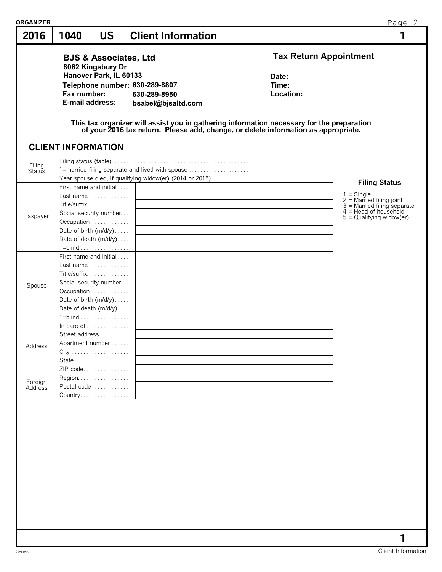| 2016               | 1040        | <b>US</b>                                                                                                                       | <b>Client Information</b>                                                                                                                                                                                                                                                                                                                                                                                                       |                                                              |                                                                                                                                                            |
|--------------------|-------------|---------------------------------------------------------------------------------------------------------------------------------|---------------------------------------------------------------------------------------------------------------------------------------------------------------------------------------------------------------------------------------------------------------------------------------------------------------------------------------------------------------------------------------------------------------------------------|--------------------------------------------------------------|------------------------------------------------------------------------------------------------------------------------------------------------------------|
|                    | Fax number: | <b>BJS &amp; Associates, Ltd</b><br>8062 Kingsbury Dr<br>Hanover Park, IL 60133<br>E-mail address:<br><b>CLIENT INFORMATION</b> | Telephone number: 630-289-8807<br>630-289-8950<br>bsabel@bjsaltd.com<br>This tax organizer will assist you in gathering information necessary for the preparation<br>of your 2016 tax return. Please add, change, or delete information as appropriate.                                                                                                                                                                         | <b>Tax Return Appointment</b><br>Date:<br>Time:<br>Location: |                                                                                                                                                            |
| Filing<br>Status   |             |                                                                                                                                 | <u> 1980 - Johann Barn, fransk politik (f. 1980)</u><br>1=married filing separate and lived with spouse<br>Year spouse died, if qualifying widow(er) (2014 or 2015)                                                                                                                                                                                                                                                             |                                                              |                                                                                                                                                            |
| Taxpayer           |             | Last name $\dots\dots\dots\dots\dots$<br>Title/suffix  <br>Date of birth $(m/d/y)$                                              | the control of the control of the control of the control of the control of the control of the control of the control of the control of the control of the control of the control of the control of the control of the control<br>Social security number<br>and the control of the control of the control of the control of the control of the control of the control of the<br>$1 = \text{blind} \dots \dots \dots \dots \dots$ |                                                              | <b>Filing Status</b><br>$1 =$ Single<br>$2$ = Married filing joint<br>3 = Married filing separate<br>$4 =$ Head of household<br>$5 =$ Qualifying widow(er) |
| Spouse             |             | First name and initial<br>Last name $\ldots \ldots \ldots \ldots$<br>Title/suffix                                               |                                                                                                                                                                                                                                                                                                                                                                                                                                 |                                                              |                                                                                                                                                            |
| Address            |             | Street address<br>Apartment number<br>ZIP code                                                                                  | $1 = \text{blind} \ldots \ldots \ldots \ldots \ldots$                                                                                                                                                                                                                                                                                                                                                                           |                                                              |                                                                                                                                                            |
| Foreign<br>Address |             | Postal code<br>Country.                                                                                                         |                                                                                                                                                                                                                                                                                                                                                                                                                                 |                                                              |                                                                                                                                                            |
|                    |             |                                                                                                                                 |                                                                                                                                                                                                                                                                                                                                                                                                                                 |                                                              |                                                                                                                                                            |
|                    |             |                                                                                                                                 |                                                                                                                                                                                                                                                                                                                                                                                                                                 |                                                              |                                                                                                                                                            |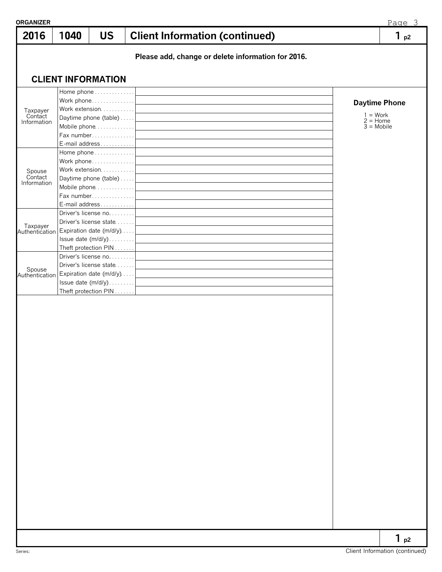| 2016                               | 1040 | <b>US</b>                                                                                                                                         | <b>Client Information (continued)</b>               | $1_{p2}$                                                         |
|------------------------------------|------|---------------------------------------------------------------------------------------------------------------------------------------------------|-----------------------------------------------------|------------------------------------------------------------------|
|                                    |      |                                                                                                                                                   | Please add, change or delete information for 2016.  |                                                                  |
|                                    |      | <b>CLIENT INFORMATION</b>                                                                                                                         |                                                     |                                                                  |
| Taxpayer<br>Contact<br>Information |      | Home phone<br>Work phone <br>Work extension<br>Daytime phone (table)<br>Fax number                                                                | <u> 1989 - Johann Barbara, martxa alemaniar arg</u> | <b>Daytime Phone</b><br>$1 = Work$<br>$2 =$ Home<br>$3 = Mobile$ |
| Spouse<br>Contact<br>Information   |      | E-mail address<br>Home phone 1<br>Work phone <br>Work extension<br>Fax number                                                                     |                                                     |                                                                  |
| Taxpayer<br>Authentication         |      | E-mail address<br>Driver's license no.<br>Driver's license state<br>Expiration date (m/d/y) [<br>$ $ issue date $(m/d/y)$<br>Theft protection PIN |                                                     |                                                                  |
| Spouse<br>Authentication           |      | Driver's license no. 1<br>Driver's license state<br>Expiration date (m/d/y)<br>Theft protection PIN                                               |                                                     |                                                                  |
|                                    |      |                                                                                                                                                   |                                                     |                                                                  |
|                                    |      |                                                                                                                                                   |                                                     |                                                                  |
|                                    |      |                                                                                                                                                   |                                                     |                                                                  |
|                                    |      |                                                                                                                                                   |                                                     |                                                                  |
|                                    |      |                                                                                                                                                   |                                                     |                                                                  |
|                                    |      |                                                                                                                                                   |                                                     |                                                                  |
|                                    |      |                                                                                                                                                   |                                                     | 1 <sub>p2</sub>                                                  |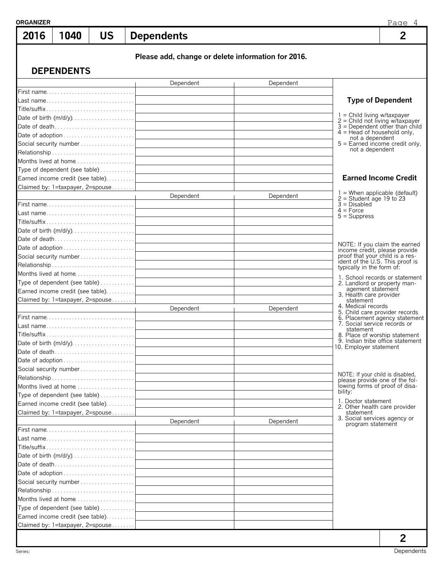| 2016<br><b>US</b><br>1040<br><b>Dependents</b><br>Please add, change or delete information for 2016.<br><b>DEPENDENTS</b><br>Dependent<br>Dependent<br>First name<br>Date of birth $(m/d/v)$<br>Months lived at home<br>Type of dependent (see table) <br>Earned income credit (see table)<br>Claimed by: 1=taxpayer, 2=spouse<br>Dependent<br>Dependent<br>$2 =$ Student age 19 to 23<br>First name<br>$3 = Disabled$<br>$4 = Force$<br>$5 =$ Suppress<br>ident of the U.S. This proof is<br>typically in the form of:<br>Months lived at home<br>Type of dependent (see table)<br>Earned income credit (see table)<br>3. Health care provider<br>Claimed by: 1=taxpayer, 2=spouse<br>statement<br>4. Medical records<br>Dependent<br>Dependent<br>First name<br>statement<br>10. Employer statement | $\overline{2}$<br><b>Type of Dependent</b><br>$1 =$ Child living w/taxpayer<br>$2 =$ Child not living w/taxpayer<br>$3 =$ Dependent other than child<br>$4 =$ Head of household only,<br>not a dependent<br>$5 =$ Earned income credit only,<br>not a dependent<br><b>Earned Income Credit</b> |
|-------------------------------------------------------------------------------------------------------------------------------------------------------------------------------------------------------------------------------------------------------------------------------------------------------------------------------------------------------------------------------------------------------------------------------------------------------------------------------------------------------------------------------------------------------------------------------------------------------------------------------------------------------------------------------------------------------------------------------------------------------------------------------------------------------|------------------------------------------------------------------------------------------------------------------------------------------------------------------------------------------------------------------------------------------------------------------------------------------------|
|                                                                                                                                                                                                                                                                                                                                                                                                                                                                                                                                                                                                                                                                                                                                                                                                       |                                                                                                                                                                                                                                                                                                |
|                                                                                                                                                                                                                                                                                                                                                                                                                                                                                                                                                                                                                                                                                                                                                                                                       |                                                                                                                                                                                                                                                                                                |
|                                                                                                                                                                                                                                                                                                                                                                                                                                                                                                                                                                                                                                                                                                                                                                                                       |                                                                                                                                                                                                                                                                                                |
|                                                                                                                                                                                                                                                                                                                                                                                                                                                                                                                                                                                                                                                                                                                                                                                                       |                                                                                                                                                                                                                                                                                                |
|                                                                                                                                                                                                                                                                                                                                                                                                                                                                                                                                                                                                                                                                                                                                                                                                       |                                                                                                                                                                                                                                                                                                |
|                                                                                                                                                                                                                                                                                                                                                                                                                                                                                                                                                                                                                                                                                                                                                                                                       |                                                                                                                                                                                                                                                                                                |
|                                                                                                                                                                                                                                                                                                                                                                                                                                                                                                                                                                                                                                                                                                                                                                                                       |                                                                                                                                                                                                                                                                                                |
|                                                                                                                                                                                                                                                                                                                                                                                                                                                                                                                                                                                                                                                                                                                                                                                                       |                                                                                                                                                                                                                                                                                                |
|                                                                                                                                                                                                                                                                                                                                                                                                                                                                                                                                                                                                                                                                                                                                                                                                       |                                                                                                                                                                                                                                                                                                |
|                                                                                                                                                                                                                                                                                                                                                                                                                                                                                                                                                                                                                                                                                                                                                                                                       |                                                                                                                                                                                                                                                                                                |
|                                                                                                                                                                                                                                                                                                                                                                                                                                                                                                                                                                                                                                                                                                                                                                                                       |                                                                                                                                                                                                                                                                                                |
|                                                                                                                                                                                                                                                                                                                                                                                                                                                                                                                                                                                                                                                                                                                                                                                                       |                                                                                                                                                                                                                                                                                                |
|                                                                                                                                                                                                                                                                                                                                                                                                                                                                                                                                                                                                                                                                                                                                                                                                       |                                                                                                                                                                                                                                                                                                |
|                                                                                                                                                                                                                                                                                                                                                                                                                                                                                                                                                                                                                                                                                                                                                                                                       |                                                                                                                                                                                                                                                                                                |
|                                                                                                                                                                                                                                                                                                                                                                                                                                                                                                                                                                                                                                                                                                                                                                                                       |                                                                                                                                                                                                                                                                                                |
|                                                                                                                                                                                                                                                                                                                                                                                                                                                                                                                                                                                                                                                                                                                                                                                                       | $1 =$ When applicable (default)                                                                                                                                                                                                                                                                |
|                                                                                                                                                                                                                                                                                                                                                                                                                                                                                                                                                                                                                                                                                                                                                                                                       |                                                                                                                                                                                                                                                                                                |
|                                                                                                                                                                                                                                                                                                                                                                                                                                                                                                                                                                                                                                                                                                                                                                                                       |                                                                                                                                                                                                                                                                                                |
|                                                                                                                                                                                                                                                                                                                                                                                                                                                                                                                                                                                                                                                                                                                                                                                                       |                                                                                                                                                                                                                                                                                                |
|                                                                                                                                                                                                                                                                                                                                                                                                                                                                                                                                                                                                                                                                                                                                                                                                       |                                                                                                                                                                                                                                                                                                |
|                                                                                                                                                                                                                                                                                                                                                                                                                                                                                                                                                                                                                                                                                                                                                                                                       |                                                                                                                                                                                                                                                                                                |
|                                                                                                                                                                                                                                                                                                                                                                                                                                                                                                                                                                                                                                                                                                                                                                                                       | NOTE: If you claim the earned<br>income credit, please provide                                                                                                                                                                                                                                 |
|                                                                                                                                                                                                                                                                                                                                                                                                                                                                                                                                                                                                                                                                                                                                                                                                       | proof that your child is a res-                                                                                                                                                                                                                                                                |
|                                                                                                                                                                                                                                                                                                                                                                                                                                                                                                                                                                                                                                                                                                                                                                                                       |                                                                                                                                                                                                                                                                                                |
|                                                                                                                                                                                                                                                                                                                                                                                                                                                                                                                                                                                                                                                                                                                                                                                                       | 1. School records or statement                                                                                                                                                                                                                                                                 |
|                                                                                                                                                                                                                                                                                                                                                                                                                                                                                                                                                                                                                                                                                                                                                                                                       | 2. Landlord or property man-                                                                                                                                                                                                                                                                   |
|                                                                                                                                                                                                                                                                                                                                                                                                                                                                                                                                                                                                                                                                                                                                                                                                       | agement statement                                                                                                                                                                                                                                                                              |
|                                                                                                                                                                                                                                                                                                                                                                                                                                                                                                                                                                                                                                                                                                                                                                                                       |                                                                                                                                                                                                                                                                                                |
|                                                                                                                                                                                                                                                                                                                                                                                                                                                                                                                                                                                                                                                                                                                                                                                                       | 5. Child care provider records                                                                                                                                                                                                                                                                 |
|                                                                                                                                                                                                                                                                                                                                                                                                                                                                                                                                                                                                                                                                                                                                                                                                       | 6. Placement agency statement<br>7. Social service records or                                                                                                                                                                                                                                  |
|                                                                                                                                                                                                                                                                                                                                                                                                                                                                                                                                                                                                                                                                                                                                                                                                       |                                                                                                                                                                                                                                                                                                |
|                                                                                                                                                                                                                                                                                                                                                                                                                                                                                                                                                                                                                                                                                                                                                                                                       | 8. Place of worship statement<br>9. Indian tribe office statement                                                                                                                                                                                                                              |
|                                                                                                                                                                                                                                                                                                                                                                                                                                                                                                                                                                                                                                                                                                                                                                                                       |                                                                                                                                                                                                                                                                                                |
|                                                                                                                                                                                                                                                                                                                                                                                                                                                                                                                                                                                                                                                                                                                                                                                                       |                                                                                                                                                                                                                                                                                                |
|                                                                                                                                                                                                                                                                                                                                                                                                                                                                                                                                                                                                                                                                                                                                                                                                       |                                                                                                                                                                                                                                                                                                |
|                                                                                                                                                                                                                                                                                                                                                                                                                                                                                                                                                                                                                                                                                                                                                                                                       | NOTE: If your child is disabled,                                                                                                                                                                                                                                                               |
| Months lived at home                                                                                                                                                                                                                                                                                                                                                                                                                                                                                                                                                                                                                                                                                                                                                                                  | please provide one of the fol-<br>lowing forms of proof of disa-                                                                                                                                                                                                                               |
| bility:<br>Type of dependent (see table)                                                                                                                                                                                                                                                                                                                                                                                                                                                                                                                                                                                                                                                                                                                                                              |                                                                                                                                                                                                                                                                                                |
| 1. Doctor statement<br>Earned income credit (see table).                                                                                                                                                                                                                                                                                                                                                                                                                                                                                                                                                                                                                                                                                                                                              |                                                                                                                                                                                                                                                                                                |
| Claimed by: 1=taxpayer, 2=spouse<br>statement                                                                                                                                                                                                                                                                                                                                                                                                                                                                                                                                                                                                                                                                                                                                                         | 2. Other health care provider                                                                                                                                                                                                                                                                  |
| Dependent<br>Dependent                                                                                                                                                                                                                                                                                                                                                                                                                                                                                                                                                                                                                                                                                                                                                                                | 3. Social services agency or                                                                                                                                                                                                                                                                   |
| First name                                                                                                                                                                                                                                                                                                                                                                                                                                                                                                                                                                                                                                                                                                                                                                                            | program statement                                                                                                                                                                                                                                                                              |
|                                                                                                                                                                                                                                                                                                                                                                                                                                                                                                                                                                                                                                                                                                                                                                                                       |                                                                                                                                                                                                                                                                                                |
|                                                                                                                                                                                                                                                                                                                                                                                                                                                                                                                                                                                                                                                                                                                                                                                                       |                                                                                                                                                                                                                                                                                                |
|                                                                                                                                                                                                                                                                                                                                                                                                                                                                                                                                                                                                                                                                                                                                                                                                       |                                                                                                                                                                                                                                                                                                |
|                                                                                                                                                                                                                                                                                                                                                                                                                                                                                                                                                                                                                                                                                                                                                                                                       |                                                                                                                                                                                                                                                                                                |
|                                                                                                                                                                                                                                                                                                                                                                                                                                                                                                                                                                                                                                                                                                                                                                                                       |                                                                                                                                                                                                                                                                                                |
|                                                                                                                                                                                                                                                                                                                                                                                                                                                                                                                                                                                                                                                                                                                                                                                                       |                                                                                                                                                                                                                                                                                                |
|                                                                                                                                                                                                                                                                                                                                                                                                                                                                                                                                                                                                                                                                                                                                                                                                       |                                                                                                                                                                                                                                                                                                |
| Months lived at home                                                                                                                                                                                                                                                                                                                                                                                                                                                                                                                                                                                                                                                                                                                                                                                  |                                                                                                                                                                                                                                                                                                |
| Type of dependent (see table)                                                                                                                                                                                                                                                                                                                                                                                                                                                                                                                                                                                                                                                                                                                                                                         |                                                                                                                                                                                                                                                                                                |
| Earned income credit (see table).                                                                                                                                                                                                                                                                                                                                                                                                                                                                                                                                                                                                                                                                                                                                                                     |                                                                                                                                                                                                                                                                                                |
| Claimed by: 1=taxpayer, 2=spouse                                                                                                                                                                                                                                                                                                                                                                                                                                                                                                                                                                                                                                                                                                                                                                      |                                                                                                                                                                                                                                                                                                |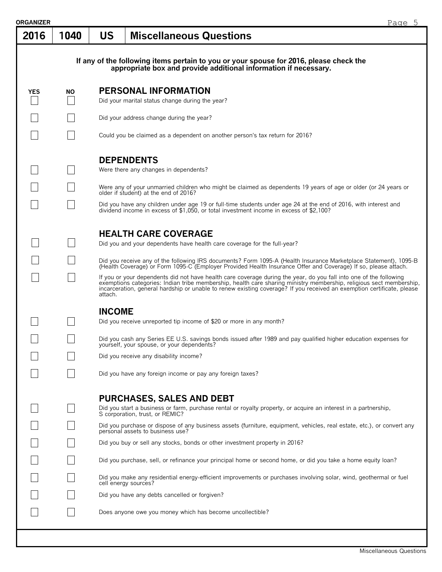| ORGANIZER  |      |               |                                                                                                                                                                                                                                                                                                                                                                     | Page 5 |
|------------|------|---------------|---------------------------------------------------------------------------------------------------------------------------------------------------------------------------------------------------------------------------------------------------------------------------------------------------------------------------------------------------------------------|--------|
| 2016       | 1040 | <b>US</b>     | <b>Miscellaneous Questions</b>                                                                                                                                                                                                                                                                                                                                      |        |
|            |      |               | If any of the following items pertain to you or your spouse for 2016, please check the appropriate box and provide additional information if necessary.                                                                                                                                                                                                             |        |
| <b>YES</b> | NO.  |               | <b>PERSONAL INFORMATION</b><br>Did your marital status change during the year?                                                                                                                                                                                                                                                                                      |        |
|            |      |               | Did your address change during the year?                                                                                                                                                                                                                                                                                                                            |        |
|            |      |               | Could you be claimed as a dependent on another person's tax return for 2016?                                                                                                                                                                                                                                                                                        |        |
|            |      |               | <b>DEPENDENTS</b><br>Were there any changes in dependents?                                                                                                                                                                                                                                                                                                          |        |
|            |      |               | Were any of your unmarried children who might be claimed as dependents 19 years of age or older (or 24 years or<br>older if student) at the end of 2016?                                                                                                                                                                                                            |        |
|            |      |               | Did you have any children under age 19 or full-time students under age 24 at the end of 2016, with interest and<br>dividend income in excess of \$1,050, or total investment income in excess of \$2,100?                                                                                                                                                           |        |
|            |      |               | <b>HEALTH CARE COVERAGE</b><br>Did you and your dependents have health care coverage for the full-year?                                                                                                                                                                                                                                                             |        |
|            |      |               | Did you receive any of the following IRS documents? Form 1095-A (Health Insurance Marketplace Statement), 1095-B<br>(Health Coverage) or Form 1095-C (Employer Provided Health Insurance Offer and Coverage) If so, please attach.                                                                                                                                  |        |
|            |      | attach.       | If you or your dependents did not have health care coverage during the year, do you fall into one of the following<br>exemptions categories: Indian tribe membership, health care sharing ministry membership, religious sect membership,<br>incarceration, general hardship or unable to renew existing coverage? If you received an exemption certificate, please |        |
|            |      | <b>INCOME</b> | Did you receive unreported tip income of \$20 or more in any month?                                                                                                                                                                                                                                                                                                 |        |
|            |      |               | Did you cash any Series EE U.S. savings bonds issued after 1989 and pay qualified higher education expenses for<br>yourself, your spouse, or your dependents?                                                                                                                                                                                                       |        |
|            |      |               | Did you receive any disability income?                                                                                                                                                                                                                                                                                                                              |        |
|            |      |               | Did you have any foreign income or pay any foreign taxes?                                                                                                                                                                                                                                                                                                           |        |
|            |      |               | <b>PURCHASES, SALES AND DEBT</b><br>Did you start a business or farm, purchase rental or royalty property, or acquire an interest in a partnership,<br>S corporation, trust, or REMIC?                                                                                                                                                                              |        |
|            |      |               | Did you purchase or dispose of any business assets (furniture, equipment, vehicles, real estate, etc.), or convert any<br>personal assets to business use?                                                                                                                                                                                                          |        |
|            |      |               | Did you buy or sell any stocks, bonds or other investment property in 2016?                                                                                                                                                                                                                                                                                         |        |
|            |      |               | Did you purchase, sell, or refinance your principal home or second home, or did you take a home equity loan?                                                                                                                                                                                                                                                        |        |
|            |      |               | Did you make any residential energy-efficient improvements or purchases involving solar, wind, geothermal or fuel<br>cell energy sources?                                                                                                                                                                                                                           |        |
|            |      |               | Did you have any debts cancelled or forgiven?                                                                                                                                                                                                                                                                                                                       |        |
|            |      |               | Does anyone owe you money which has become uncollectible?                                                                                                                                                                                                                                                                                                           |        |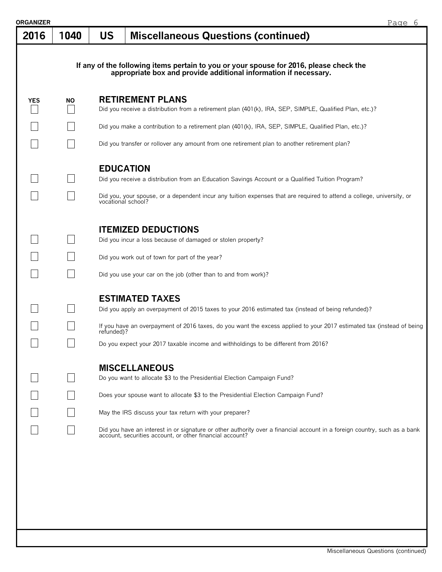| ORGANIZER |  |
|-----------|--|
|-----------|--|

| <b>RGANIZER</b> |           |                                        | Page 6                                                                                                                                                                                                                                                                                                                                                                                                                                   |  |
|-----------------|-----------|----------------------------------------|------------------------------------------------------------------------------------------------------------------------------------------------------------------------------------------------------------------------------------------------------------------------------------------------------------------------------------------------------------------------------------------------------------------------------------------|--|
| 2016            | 1040      | <b>US</b>                              | <b>Miscellaneous Questions (continued)</b>                                                                                                                                                                                                                                                                                                                                                                                               |  |
|                 |           |                                        | If any of the following items pertain to you or your spouse for 2016, please check the<br>appropriate box and provide additional information if necessary.                                                                                                                                                                                                                                                                               |  |
| <b>YES</b>      | <b>NO</b> |                                        | <b>RETIREMENT PLANS</b><br>Did you receive a distribution from a retirement plan (401(k), IRA, SEP, SIMPLE, Qualified Plan, etc.)?                                                                                                                                                                                                                                                                                                       |  |
|                 |           |                                        | Did you make a contribution to a retirement plan (401(k), IRA, SEP, SIMPLE, Qualified Plan, etc.)?                                                                                                                                                                                                                                                                                                                                       |  |
|                 |           |                                        | Did you transfer or rollover any amount from one retirement plan to another retirement plan?                                                                                                                                                                                                                                                                                                                                             |  |
|                 |           | <b>EDUCATION</b><br>vocational school? | Did you receive a distribution from an Education Savings Account or a Qualified Tuition Program?<br>Did you, your spouse, or a dependent incur any tuition expenses that are required to attend a college, university, or                                                                                                                                                                                                                |  |
|                 |           |                                        | <b>ITEMIZED DEDUCTIONS</b><br>Did you incur a loss because of damaged or stolen property?<br>Did you work out of town for part of the year?                                                                                                                                                                                                                                                                                              |  |
|                 |           |                                        | Did you use your car on the job (other than to and from work)?                                                                                                                                                                                                                                                                                                                                                                           |  |
|                 |           | refunded)?                             | <b>ESTIMATED TAXES</b><br>Did you apply an overpayment of 2015 taxes to your 2016 estimated tax (instead of being refunded)?<br>If you have an overpayment of 2016 taxes, do you want the excess applied to your 2017 estimated tax (instead of being<br>Do you expect your 2017 taxable income and withholdings to be different from 2016?                                                                                              |  |
|                 |           |                                        | <b>MISCELLANEOUS</b><br>Do you want to allocate \$3 to the Presidential Election Campaign Fund?<br>Does your spouse want to allocate \$3 to the Presidential Election Campaign Fund?<br>May the IRS discuss your tax return with your preparer?<br>Did you have an interest in or signature or other authority over a financial account in a foreign country, such as a bank<br>account, securities account, or other financial account? |  |
|                 |           |                                        |                                                                                                                                                                                                                                                                                                                                                                                                                                          |  |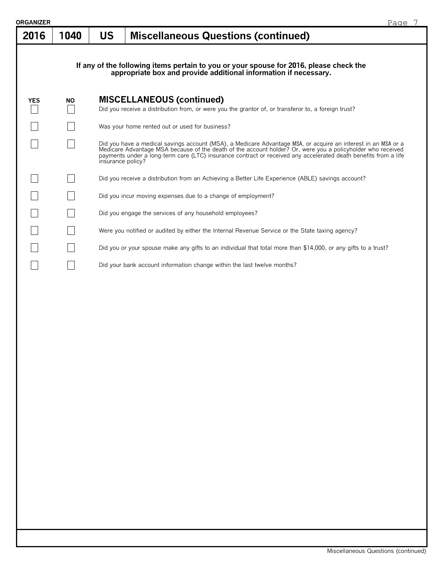| ORGANIZER |  |
|-----------|--|
|-----------|--|

| <b>RGANIZER</b> |      |                   |                                                                                                                                                                                                                                                                                                                                                 | Page |
|-----------------|------|-------------------|-------------------------------------------------------------------------------------------------------------------------------------------------------------------------------------------------------------------------------------------------------------------------------------------------------------------------------------------------|------|
| 2016            | 1040 | <b>US</b>         | <b>Miscellaneous Questions (continued)</b>                                                                                                                                                                                                                                                                                                      |      |
|                 |      |                   | If any of the following items pertain to you or your spouse for 2016, please check the appropriate box and provide additional information if necessary.                                                                                                                                                                                         |      |
| <b>YES</b>      | NO.  |                   | <b>MISCELLANEOUS (continued)</b><br>Did you receive a distribution from, or were you the grantor of, or transferor to, a foreign trust?                                                                                                                                                                                                         |      |
|                 |      |                   | Was your home rented out or used for business?                                                                                                                                                                                                                                                                                                  |      |
|                 |      | insurance policy? | Did you have a medical savings account (MSA), a Medicare Advantage MSA, or acquire an interest in an MSA or a<br>Medicare Advantage MSA because of the death of the account holder? Or, were you a policyholder who received<br>payments under a long-term care (LTC) insurance contract or received any accelerated death benefits from a life |      |
|                 |      |                   | Did you receive a distribution from an Achieving a Better Life Experience (ABLE) savings account?                                                                                                                                                                                                                                               |      |
|                 |      |                   | Did you incur moving expenses due to a change of employment?                                                                                                                                                                                                                                                                                    |      |
|                 |      |                   | Did you engage the services of any household employees?                                                                                                                                                                                                                                                                                         |      |
|                 |      |                   | Were you notified or audited by either the Internal Revenue Service or the State taxing agency?                                                                                                                                                                                                                                                 |      |
|                 |      |                   | Did you or your spouse make any gifts to an individual that total more than \$14,000, or any gifts to a trust?                                                                                                                                                                                                                                  |      |
|                 |      |                   | Did your bank account information change within the last twelve months?                                                                                                                                                                                                                                                                         |      |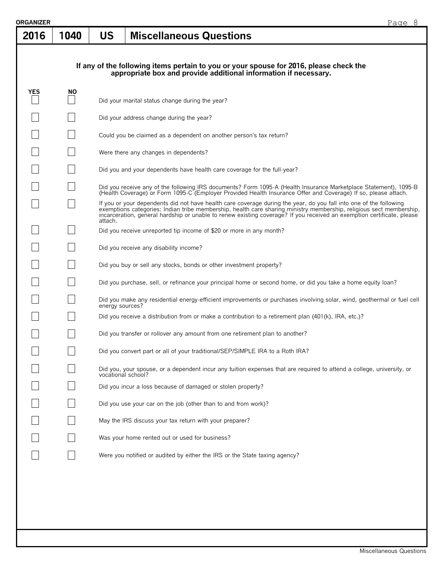| ORGANIZER |  |
|-----------|--|
|-----------|--|

| RGANIZER   |           |                    | Page 8                                                                                                                                                                                                                                                                                                                                                              |
|------------|-----------|--------------------|---------------------------------------------------------------------------------------------------------------------------------------------------------------------------------------------------------------------------------------------------------------------------------------------------------------------------------------------------------------------|
| 2016       | 1040      | <b>US</b>          | <b>Miscellaneous Questions</b>                                                                                                                                                                                                                                                                                                                                      |
|            |           |                    | If any of the following items pertain to you or your spouse for 2016, please check the appropriate box and provide additional information if necessary.                                                                                                                                                                                                             |
| <b>YES</b> | <b>NO</b> |                    | Did your marital status change during the year?                                                                                                                                                                                                                                                                                                                     |
|            |           |                    | Did your address change during the year?                                                                                                                                                                                                                                                                                                                            |
|            |           |                    | Could you be claimed as a dependent on another person's tax return?                                                                                                                                                                                                                                                                                                 |
|            |           |                    | Were there any changes in dependents?                                                                                                                                                                                                                                                                                                                               |
|            |           |                    | Did you and your dependents have health care coverage for the full-year?                                                                                                                                                                                                                                                                                            |
|            |           |                    | Did you receive any of the following IRS documents? Form 1095-A (Health Insurance Marketplace Statement), 1095-B<br>(Health Coverage) or Form 1095-C (Employer Provided Health Insurance Offer and Coverage) If so, please attach.                                                                                                                                  |
|            |           | attach.            | If you or your dependents did not have health care coverage during the year, do you fall into one of the following<br>exemptions categories: Indian tribe membership, health care sharing ministry membership, religious sect membership,<br>incarceration, general hardship or unable to renew existing coverage? If you received an exemption certificate, please |
|            |           |                    | Did you receive unreported tip income of \$20 or more in any month?                                                                                                                                                                                                                                                                                                 |
|            |           |                    | Did you receive any disability income?                                                                                                                                                                                                                                                                                                                              |
|            |           |                    | Did you buy or sell any stocks, bonds or other investment property?                                                                                                                                                                                                                                                                                                 |
|            |           |                    | Did you purchase, sell, or refinance your principal home or second home, or did you take a home equity loan?                                                                                                                                                                                                                                                        |
|            |           | energy sources?    | Did you make any residential energy-efficient improvements or purchases involving solar, wind, geothermal or fuel cell                                                                                                                                                                                                                                              |
|            |           |                    | Did you receive a distribution from or make a contribution to a retirement plan (401(k), IRA, etc.)?                                                                                                                                                                                                                                                                |
|            |           |                    | Did you transfer or rollover any amount from one retirement plan to another?                                                                                                                                                                                                                                                                                        |
|            |           |                    | Did you convert part or all of your traditional/SEP/SIMPLE IRA to a Roth IRA?                                                                                                                                                                                                                                                                                       |
|            |           | vocational school? | Did you, your spouse, or a dependent incur any tuition expenses that are required to attend a college, university, or                                                                                                                                                                                                                                               |
|            |           |                    | Did you incur a loss because of damaged or stolen property?                                                                                                                                                                                                                                                                                                         |
|            |           |                    | Did you use your car on the job (other than to and from work)?                                                                                                                                                                                                                                                                                                      |
|            |           |                    | May the IRS discuss your tax return with your preparer?                                                                                                                                                                                                                                                                                                             |
|            |           |                    | Was your home rented out or used for business?                                                                                                                                                                                                                                                                                                                      |
|            |           |                    | Were you notified or audited by either the IRS or the State taxing agency?                                                                                                                                                                                                                                                                                          |
|            |           |                    |                                                                                                                                                                                                                                                                                                                                                                     |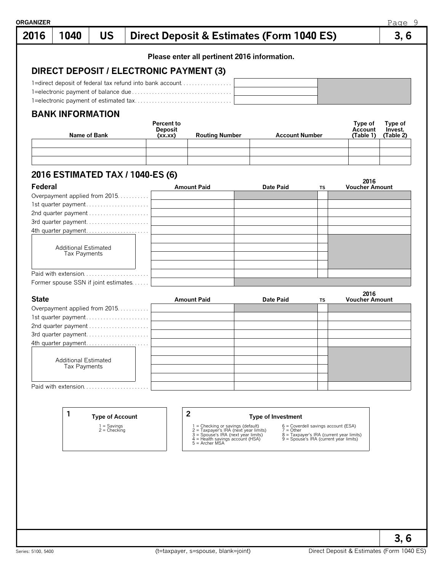|              |                                                          |                              | Please enter all pertinent 2016 information.                                                                     |                           |                                                                                    |                               |                    |
|--------------|----------------------------------------------------------|------------------------------|------------------------------------------------------------------------------------------------------------------|---------------------------|------------------------------------------------------------------------------------|-------------------------------|--------------------|
|              | DIRECT DEPOSIT / ELECTRONIC PAYMENT (3)                  |                              |                                                                                                                  |                           |                                                                                    |                               |                    |
|              | 1=direct deposit of federal tax refund into bank account |                              |                                                                                                                  |                           |                                                                                    |                               |                    |
|              |                                                          |                              |                                                                                                                  |                           |                                                                                    |                               |                    |
|              |                                                          |                              |                                                                                                                  |                           |                                                                                    |                               |                    |
|              | <b>BANK INFORMATION</b>                                  |                              |                                                                                                                  |                           |                                                                                    |                               |                    |
|              |                                                          | Percent to<br><b>Deposit</b> |                                                                                                                  |                           |                                                                                    | Type of<br><b>Account</b>     | Type of<br>Invest. |
|              | Name of Bank                                             | (xx.xx)                      | <b>Routing Number</b>                                                                                            | <b>Account Number</b>     |                                                                                    | (Table 1)                     | (Table 2)          |
|              |                                                          |                              |                                                                                                                  |                           |                                                                                    |                               |                    |
|              |                                                          |                              |                                                                                                                  |                           |                                                                                    |                               |                    |
|              |                                                          |                              |                                                                                                                  |                           |                                                                                    |                               |                    |
|              | 2016 ESTIMATED TAX / 1040-ES (6)                         |                              |                                                                                                                  |                           |                                                                                    | 2016                          |                    |
| Federal      |                                                          |                              | <b>Amount Paid</b>                                                                                               | <b>Date Paid</b>          | ΤS                                                                                 | <b>Voucher Amount</b>         |                    |
|              | Overpayment applied from 2015                            |                              |                                                                                                                  |                           |                                                                                    |                               |                    |
|              | 1st quarter payment                                      |                              |                                                                                                                  |                           |                                                                                    |                               |                    |
|              | 2nd quarter payment<br>3rd quarter payment               |                              |                                                                                                                  |                           |                                                                                    |                               |                    |
|              | 4th quarter payment                                      |                              |                                                                                                                  |                           |                                                                                    |                               |                    |
|              |                                                          |                              |                                                                                                                  |                           |                                                                                    |                               |                    |
|              | <b>Additional Estimated</b>                              |                              |                                                                                                                  |                           |                                                                                    |                               |                    |
|              | <b>Tax Payments</b>                                      |                              |                                                                                                                  |                           |                                                                                    |                               |                    |
|              |                                                          |                              |                                                                                                                  |                           |                                                                                    |                               |                    |
|              | Paid with extension                                      |                              |                                                                                                                  |                           |                                                                                    |                               |                    |
|              | Former spouse SSN if joint estimates                     |                              |                                                                                                                  |                           |                                                                                    |                               |                    |
| <b>State</b> |                                                          |                              | <b>Amount Paid</b>                                                                                               | <b>Date Paid</b>          | ΤS                                                                                 | 2016<br><b>Voucher Amount</b> |                    |
|              | Overpayment applied from 2015.                           |                              |                                                                                                                  |                           |                                                                                    |                               |                    |
|              |                                                          |                              |                                                                                                                  |                           |                                                                                    |                               |                    |
|              | 2nd quarter payment                                      |                              |                                                                                                                  |                           |                                                                                    |                               |                    |
|              | 3rd quarter payment                                      |                              |                                                                                                                  |                           |                                                                                    |                               |                    |
|              | 4th quarter payment                                      |                              |                                                                                                                  |                           |                                                                                    |                               |                    |
|              |                                                          |                              |                                                                                                                  |                           |                                                                                    |                               |                    |
|              | <b>Additional Estimated</b><br><b>Tax Payments</b>       |                              |                                                                                                                  |                           |                                                                                    |                               |                    |
|              |                                                          |                              |                                                                                                                  |                           |                                                                                    |                               |                    |
|              |                                                          |                              |                                                                                                                  |                           |                                                                                    |                               |                    |
|              |                                                          |                              |                                                                                                                  |                           |                                                                                    |                               |                    |
|              |                                                          |                              |                                                                                                                  |                           |                                                                                    |                               |                    |
|              | 1<br><b>Type of Account</b>                              |                              | $\overline{2}$                                                                                                   | <b>Type of Investment</b> |                                                                                    |                               |                    |
|              | $1 =$ Savings<br>$2 =$ Checking                          |                              | $1 =$ Checking or savings (default)                                                                              | $7 = Other$               | 6 = Coverdell savings account (ESA)                                                |                               |                    |
|              |                                                          |                              | 2 = Taxpayer's IRA (next year limits)<br>3 = Spouse's IRA (next year limits)<br>4 = Health savings account (HSA) |                           | 8 = Taxpayer's IRA (current year limits)<br>9 = Spouse's IRA (current year limits) |                               |                    |
|              |                                                          |                              | $5 =$ Archer MSA                                                                                                 |                           |                                                                                    |                               |                    |
|              |                                                          |                              |                                                                                                                  |                           |                                                                                    |                               |                    |
|              |                                                          |                              |                                                                                                                  |                           |                                                                                    |                               |                    |
|              |                                                          |                              |                                                                                                                  |                           |                                                                                    |                               |                    |
|              |                                                          |                              |                                                                                                                  |                           |                                                                                    |                               |                    |

**3, 6**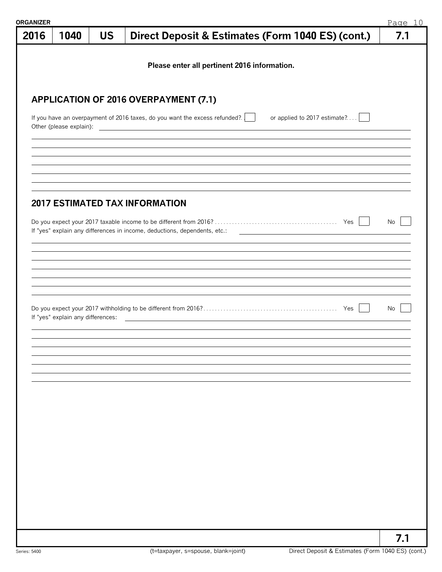| <b>RGANIZER</b> |                                   |           |                                                                                                                                                               | Page 10 |
|-----------------|-----------------------------------|-----------|---------------------------------------------------------------------------------------------------------------------------------------------------------------|---------|
| 2016            | 1040                              | <b>US</b> | Direct Deposit & Estimates (Form 1040 ES) (cont.)                                                                                                             | 7.1     |
|                 |                                   |           | Please enter all pertinent 2016 information.                                                                                                                  |         |
|                 |                                   |           | <b>APPLICATION OF 2016 OVERPAYMENT (7.1)</b>                                                                                                                  |         |
|                 | Other (please explain):           |           | If you have an overpayment of 2016 taxes, do you want the excess refunded?.<br>or applied to 2017 estimate?<br><u> 1989 - Johann Stein, Amerikaansk konst</u> |         |
|                 |                                   |           |                                                                                                                                                               |         |
|                 |                                   |           | <b>2017 ESTIMATED TAX INFORMATION</b>                                                                                                                         |         |
|                 |                                   |           | If "yes" explain any differences in income, deductions, dependents, etc.:                                                                                     | No      |
|                 |                                   |           |                                                                                                                                                               |         |
|                 |                                   |           |                                                                                                                                                               |         |
|                 | If "yes" explain any differences: |           |                                                                                                                                                               | No      |
|                 |                                   |           |                                                                                                                                                               |         |
|                 |                                   |           |                                                                                                                                                               |         |
|                 |                                   |           |                                                                                                                                                               |         |
|                 |                                   |           |                                                                                                                                                               |         |
|                 |                                   |           |                                                                                                                                                               |         |
|                 |                                   |           |                                                                                                                                                               |         |
|                 |                                   |           |                                                                                                                                                               | 7.1     |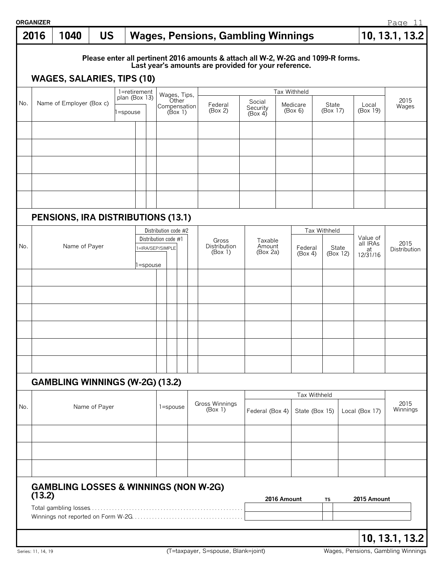| ORGANIZER |  |  |
|-----------|--|--|
|           |  |  |
|           |  |  |

|     | <b>ORGANIZER</b> |                                                  |               |            |               |                                          |                                                  |                                                                                                                                          |                               |             |                     |                   |                   |                            | Page 11              |
|-----|------------------|--------------------------------------------------|---------------|------------|---------------|------------------------------------------|--------------------------------------------------|------------------------------------------------------------------------------------------------------------------------------------------|-------------------------------|-------------|---------------------|-------------------|-------------------|----------------------------|----------------------|
|     | 2016             | 1040                                             | <b>US</b>     |            |               |                                          |                                                  | <b>Wages, Pensions, Gambling Winnings</b>                                                                                                |                               |             |                     |                   |                   |                            | 10, 13.1, 13.2       |
|     |                  | <b>WAGES, SALARIES, TIPS (10)</b>                |               |            |               |                                          |                                                  | Please enter all pertinent 2016 amounts & attach all W-2, W-2G and 1099-R forms.<br>Last year's amounts are provided for your reference. |                               |             |                     |                   |                   |                            |                      |
|     |                  |                                                  |               |            | 1=retirement  |                                          |                                                  |                                                                                                                                          |                               |             | Tax Withheld        |                   |                   |                            |                      |
| No. |                  | Name of Employer (Box c)                         |               | $=$ spouse | plan (Box 13) |                                          | Wages, Tips,<br>Other<br>Compensation<br>(Box 1) | Federal<br>(Box 2)                                                                                                                       | Social<br>Security<br>(Box 4) |             | Medicare<br>(Box 6) | State<br>(Box 17) |                   | Local<br>(Box 19)          | 2015<br>Wages        |
|     |                  |                                                  |               |            |               |                                          |                                                  |                                                                                                                                          |                               |             |                     |                   |                   |                            |                      |
|     |                  |                                                  |               |            |               |                                          |                                                  |                                                                                                                                          |                               |             |                     |                   |                   |                            |                      |
|     |                  |                                                  |               |            |               |                                          |                                                  |                                                                                                                                          |                               |             |                     |                   |                   |                            |                      |
|     |                  |                                                  |               |            |               |                                          |                                                  |                                                                                                                                          |                               |             |                     |                   |                   |                            |                      |
|     |                  |                                                  |               |            |               |                                          |                                                  |                                                                                                                                          |                               |             |                     |                   |                   |                            |                      |
|     |                  |                                                  |               |            |               |                                          |                                                  |                                                                                                                                          |                               |             |                     |                   |                   |                            |                      |
|     |                  | PENSIONS, IRA DISTRIBUTIONS (13.1)               |               |            |               |                                          |                                                  |                                                                                                                                          |                               |             |                     |                   |                   |                            |                      |
|     |                  |                                                  |               |            |               |                                          | Distribution code #2                             |                                                                                                                                          |                               |             |                     | Tax Withheld      |                   | Value of                   |                      |
| No. |                  | Name of Payer                                    |               |            |               | Distribution code #1<br>1=IRA/SEP/SIMPLE |                                                  | Gross<br>Distribution<br>(Box 1)                                                                                                         | Taxable<br>Amount<br>(Box 2a) |             | Federal<br>(Box 4)  |                   | State<br>(Box 12) | all IRAs<br>at<br>12/31/16 | 2015<br>Distribution |
|     |                  |                                                  |               |            | spouse=       |                                          |                                                  |                                                                                                                                          |                               |             |                     |                   |                   |                            |                      |
|     |                  |                                                  |               |            |               |                                          |                                                  |                                                                                                                                          |                               |             |                     |                   |                   |                            |                      |
|     |                  |                                                  |               |            |               |                                          |                                                  |                                                                                                                                          |                               |             |                     |                   |                   |                            |                      |
|     |                  |                                                  |               |            |               |                                          |                                                  |                                                                                                                                          |                               |             |                     |                   |                   |                            |                      |
|     |                  |                                                  |               |            |               |                                          |                                                  |                                                                                                                                          |                               |             |                     |                   |                   |                            |                      |
|     |                  |                                                  |               |            |               |                                          |                                                  |                                                                                                                                          |                               |             |                     |                   |                   |                            |                      |
|     |                  |                                                  |               |            |               |                                          |                                                  |                                                                                                                                          |                               |             |                     |                   |                   |                            |                      |
|     |                  |                                                  |               |            |               |                                          |                                                  |                                                                                                                                          |                               |             |                     |                   |                   |                            |                      |
|     |                  | GAMBLING WINNINGS (W-2G) (13.2)                  |               |            |               |                                          |                                                  |                                                                                                                                          |                               |             | Tax Withheld        |                   |                   |                            |                      |
| No. |                  |                                                  | Name of Payer |            |               | $1 =$ spouse                             |                                                  | Gross Winnings<br>(Box 1)                                                                                                                | Federal (Box 4)               |             | State (Box 15)      |                   |                   | Local (Box 17)             | 2015<br>Winnings     |
|     |                  |                                                  |               |            |               |                                          |                                                  |                                                                                                                                          |                               |             |                     |                   |                   |                            |                      |
|     |                  |                                                  |               |            |               |                                          |                                                  |                                                                                                                                          |                               |             |                     |                   |                   |                            |                      |
|     |                  |                                                  |               |            |               |                                          |                                                  |                                                                                                                                          |                               |             |                     |                   |                   |                            |                      |
|     |                  |                                                  |               |            |               |                                          |                                                  |                                                                                                                                          |                               |             |                     |                   |                   |                            |                      |
|     | (13.2)           | <b>GAMBLING LOSSES &amp; WINNINGS (NON W-2G)</b> |               |            |               |                                          |                                                  |                                                                                                                                          |                               | 2016 Amount |                     | <b>TS</b>         |                   | 2015 Amount                |                      |
|     |                  |                                                  |               |            |               |                                          |                                                  |                                                                                                                                          |                               |             |                     |                   |                   |                            |                      |
|     |                  |                                                  |               |            |               |                                          |                                                  |                                                                                                                                          |                               |             |                     |                   |                   |                            | 10, 13.1, 13.2       |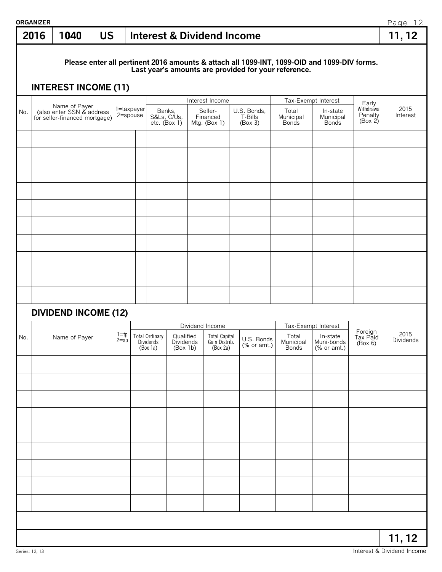|     | <b>ORGANIZER</b> |                                                                              |           |          |            |                                                |                                           |                                                          |                                   |                                    |                                                                                                                                                     |                                           | Page 12          |
|-----|------------------|------------------------------------------------------------------------------|-----------|----------|------------|------------------------------------------------|-------------------------------------------|----------------------------------------------------------|-----------------------------------|------------------------------------|-----------------------------------------------------------------------------------------------------------------------------------------------------|-------------------------------------------|------------------|
|     | 2016             | 1040                                                                         | <b>US</b> |          |            |                                                |                                           | <b>Interest &amp; Dividend Income</b>                    |                                   |                                    |                                                                                                                                                     |                                           | 11, 12           |
|     |                  | <b>INTEREST INCOME (11)</b>                                                  |           |          |            |                                                |                                           |                                                          |                                   |                                    | Please enter all pertinent 2016 amounts & attach all 1099-INT, 1099-OID and 1099-DIV forms.<br>Last year's amounts are provided for your reference. |                                           |                  |
|     |                  |                                                                              |           |          |            |                                                |                                           |                                                          |                                   |                                    | Tax-Exempt Interest                                                                                                                                 |                                           |                  |
| No. |                  | Name of Payer<br>(also enter SSN & address)<br>for seller-financed mortgage) |           | 2=spouse | l=taxpayer | Banks,<br>S&Ls, C/Us,<br>etc. $(Box 1)$        |                                           | Interest Income<br>Seller-<br>Financed<br>Mtg. $(Box 1)$ | U.S. Bonds,<br>T-Bills<br>(Box 3) | Total<br>Municipal<br><b>Bonds</b> | In-state<br>Municipal<br><b>Bonds</b>                                                                                                               | Early<br>Withdrawal<br>Penalty<br>(Box 2) | 2015<br>Interest |
|     |                  |                                                                              |           |          |            |                                                |                                           |                                                          |                                   |                                    |                                                                                                                                                     |                                           |                  |
|     |                  |                                                                              |           |          |            |                                                |                                           |                                                          |                                   |                                    |                                                                                                                                                     |                                           |                  |
|     |                  |                                                                              |           |          |            |                                                |                                           |                                                          |                                   |                                    |                                                                                                                                                     |                                           |                  |
|     |                  |                                                                              |           |          |            |                                                |                                           |                                                          |                                   |                                    |                                                                                                                                                     |                                           |                  |
|     |                  |                                                                              |           |          |            |                                                |                                           |                                                          |                                   |                                    |                                                                                                                                                     |                                           |                  |
|     |                  |                                                                              |           |          |            |                                                |                                           |                                                          |                                   |                                    |                                                                                                                                                     |                                           |                  |
|     |                  |                                                                              |           |          |            |                                                |                                           |                                                          |                                   |                                    |                                                                                                                                                     |                                           |                  |
|     |                  |                                                                              |           |          |            |                                                |                                           |                                                          |                                   |                                    |                                                                                                                                                     |                                           |                  |
|     |                  |                                                                              |           |          |            |                                                |                                           |                                                          |                                   |                                    |                                                                                                                                                     |                                           |                  |
|     |                  | <b>DIVIDEND INCOME (12)</b>                                                  |           |          |            |                                                |                                           |                                                          |                                   |                                    |                                                                                                                                                     |                                           |                  |
|     |                  |                                                                              |           | $1 = tp$ |            |                                                |                                           | Dividend Income                                          |                                   |                                    | Tax-Exempt Interest                                                                                                                                 | Foreign                                   | 2015             |
| No. |                  | Name of Payer                                                                |           | $2 = sp$ |            | <b>Total Ordinary</b><br>Dividends<br>(Box 1a) | Qualified<br><b>Dividends</b><br>(Box 1b) | <b>Total Capital</b><br>Gain Distrib.<br>(Box 2a)        | U.S. Bonds<br>(% or amt.)         | Total<br>Municipal<br>Bonds        | In-state<br>Muni-bonds<br>(% or amt.)                                                                                                               | Tax Paid<br>(Box 6)                       | <b>Dividends</b> |
|     |                  |                                                                              |           |          |            |                                                |                                           |                                                          |                                   |                                    |                                                                                                                                                     |                                           |                  |
|     |                  |                                                                              |           |          |            |                                                |                                           |                                                          |                                   |                                    |                                                                                                                                                     |                                           |                  |
|     |                  |                                                                              |           |          |            |                                                |                                           |                                                          |                                   |                                    |                                                                                                                                                     |                                           |                  |
|     |                  |                                                                              |           |          |            |                                                |                                           |                                                          |                                   |                                    |                                                                                                                                                     |                                           |                  |
|     |                  |                                                                              |           |          |            |                                                |                                           |                                                          |                                   |                                    |                                                                                                                                                     |                                           |                  |
|     |                  |                                                                              |           |          |            |                                                |                                           |                                                          |                                   |                                    |                                                                                                                                                     |                                           |                  |
|     |                  |                                                                              |           |          |            |                                                |                                           |                                                          |                                   |                                    |                                                                                                                                                     |                                           |                  |
|     |                  |                                                                              |           |          |            |                                                |                                           |                                                          |                                   |                                    |                                                                                                                                                     |                                           |                  |
|     |                  |                                                                              |           |          |            |                                                |                                           |                                                          |                                   |                                    |                                                                                                                                                     |                                           |                  |
|     |                  |                                                                              |           |          |            |                                                |                                           |                                                          |                                   |                                    |                                                                                                                                                     |                                           | 11, 12           |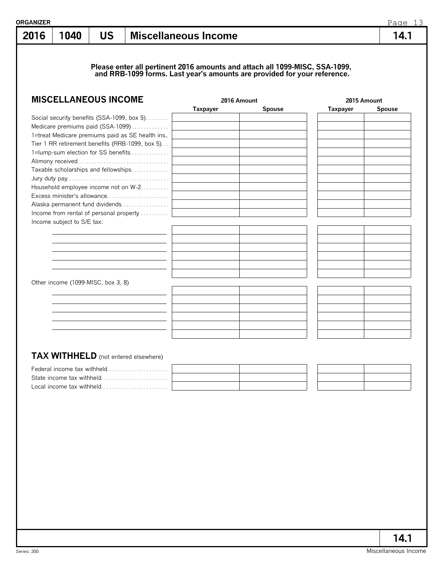# **1040 US Miscellaneous Income 14.1**

**Please enter all pertinent 2016 amounts and attach all 1099-MISC, SSA-1099, and RRB-1099 forms. Last year's amounts are provided for your reference.**

| <b>MISCELLANEOUS INCOME</b>                     |                 | 2016 Amount | 2015 Amount |               |
|-------------------------------------------------|-----------------|-------------|-------------|---------------|
|                                                 | <b>Taxpayer</b> | Spouse      | Taxpayer    | <b>Spouse</b> |
| Social security benefits (SSA-1099, box 5)      |                 |             |             |               |
| Medicare premiums paid (SSA-1099)               |                 |             |             |               |
| 1=treat Medicare premiums paid as SE health ins |                 |             |             |               |
| Tier 1 RR retirement benefits (RRB-1099, box 5) |                 |             |             |               |
| 1=lump-sum election for SS benefits             |                 |             |             |               |
|                                                 |                 |             |             |               |
| Alimony received                                |                 |             |             |               |
| Taxable scholarships and fellowships            |                 |             |             |               |
|                                                 |                 |             |             |               |
| Household employee income not on W-2.           |                 |             |             |               |
| Excess minister's allowance                     |                 |             |             |               |
| Alaska permanent fund dividends                 |                 |             |             |               |
| Income from rental of personal property         |                 |             |             |               |
| Income subject to S/E tax:                      |                 |             |             |               |
|                                                 |                 |             |             |               |
|                                                 |                 |             |             |               |
|                                                 |                 |             |             |               |
|                                                 |                 |             |             |               |
|                                                 |                 |             |             |               |
|                                                 |                 |             |             |               |
|                                                 |                 |             |             |               |
| Other income (1099-MISC, box 3, 8)              |                 |             |             |               |
|                                                 |                 |             |             |               |
|                                                 |                 |             |             |               |
|                                                 |                 |             |             |               |
|                                                 |                 |             |             |               |
|                                                 |                 |             |             |               |
|                                                 |                 |             |             |               |
|                                                 |                 |             |             |               |
|                                                 |                 |             |             |               |
| <b>TAX WITHHELD</b> (not entered elsewhere)     |                 |             |             |               |
|                                                 |                 |             |             |               |
| Federal income tax withheld                     |                 |             |             |               |
| State income tax withheld                       |                 |             |             |               |
| Local income tax withheld                       |                 |             |             |               |
|                                                 |                 |             |             |               |
|                                                 |                 |             |             |               |
|                                                 |                 |             |             |               |
|                                                 |                 |             |             |               |
|                                                 |                 |             |             |               |
|                                                 |                 |             |             |               |
|                                                 |                 |             |             |               |
|                                                 |                 |             |             |               |
|                                                 |                 |             |             |               |
|                                                 |                 |             |             |               |
|                                                 |                 |             |             |               |
|                                                 |                 |             |             |               |
|                                                 |                 |             |             |               |
|                                                 |                 |             |             |               |
|                                                 |                 |             |             |               |
|                                                 |                 |             |             |               |
|                                                 |                 |             |             |               |
|                                                 |                 |             |             |               |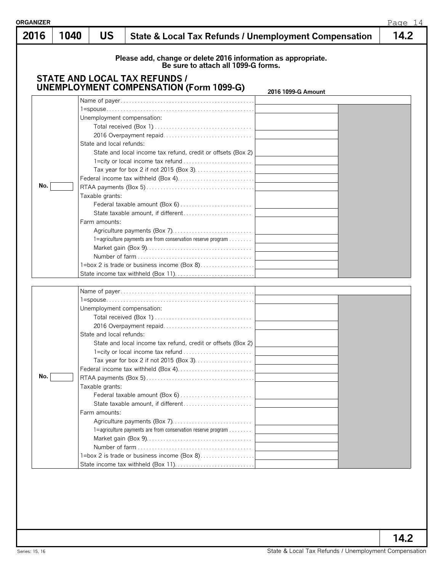| 2016 | 1040 | <b>US</b>                                                    |                                                                                                                                                                                                                                                       | <b>State &amp; Local Tax Refunds / Unemployment Compensation</b> | Page 14<br>14.2 |
|------|------|--------------------------------------------------------------|-------------------------------------------------------------------------------------------------------------------------------------------------------------------------------------------------------------------------------------------------------|------------------------------------------------------------------|-----------------|
|      |      |                                                              |                                                                                                                                                                                                                                                       |                                                                  |                 |
|      |      |                                                              | Please add, change or delete 2016 information as appropriate.<br>Be sure to attach all 1099-G forms.                                                                                                                                                  |                                                                  |                 |
|      |      |                                                              | <b>STATE AND LOCAL TAX REFUNDS /</b><br><b>UNEMPLOYMENT COMPENSATION (Form 1099-G)</b>                                                                                                                                                                | 2016 1099-G Amount                                               |                 |
| No.  |      | State and local refunds:<br>Taxable grants:<br>Farm amounts: | Unemployment compensation:<br>State and local income tax refund, credit or offsets (Box 2)<br>1=agriculture payments are from conservation reserve program<br>$1 = box 2$ is trade or business income $(Box 8)$<br>State income tax withheld (Box 11) |                                                                  |                 |
| No.  |      | State and local refunds:<br>Taxable grants:<br>Farm amounts: | Unemployment compensation:<br>State and local income tax refund, credit or offsets (Box 2)<br>1=agriculture payments are from conservation reserve program                                                                                            |                                                                  |                 |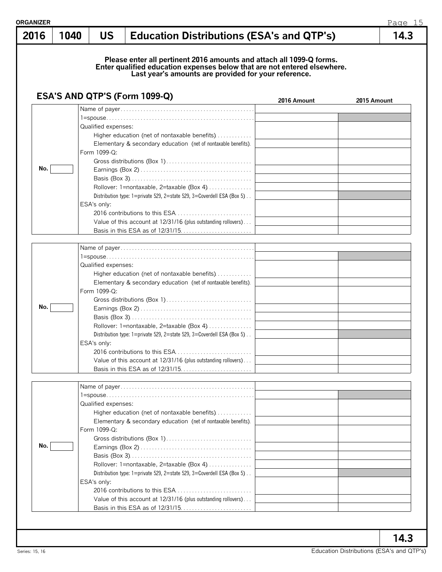| 2016 | <b>US</b><br><b>Education Distributions (ESA's and QTP's)</b><br>1040<br>Please enter all pertinent 2016 amounts and attach all 1099-Q forms.<br>Enter qualified education expenses below that are not entered elsewhere.<br>Last year's amounts are provided for your reference. |             | 14.3        |
|------|-----------------------------------------------------------------------------------------------------------------------------------------------------------------------------------------------------------------------------------------------------------------------------------|-------------|-------------|
|      | ESA'S AND QTP'S (Form 1099-Q)                                                                                                                                                                                                                                                     |             |             |
|      |                                                                                                                                                                                                                                                                                   | 2016 Amount | 2015 Amount |
|      |                                                                                                                                                                                                                                                                                   |             |             |
|      |                                                                                                                                                                                                                                                                                   |             |             |
|      | Qualified expenses:<br>Higher education (net of nontaxable benefits)                                                                                                                                                                                                              |             |             |
|      | Elementary & secondary education (net of nontaxable benefits).                                                                                                                                                                                                                    |             |             |
|      | Form 1099-Q:                                                                                                                                                                                                                                                                      |             |             |
|      |                                                                                                                                                                                                                                                                                   |             |             |
| No.  |                                                                                                                                                                                                                                                                                   |             |             |
|      |                                                                                                                                                                                                                                                                                   |             |             |
|      | Rollover: 1=nontaxable, 2=taxable (Box 4)                                                                                                                                                                                                                                         |             |             |
|      | Distribution type: 1=private 529, 2=state 529, 3=Coverdell ESA (Box 5).                                                                                                                                                                                                           |             |             |
|      | ESA's only:                                                                                                                                                                                                                                                                       |             |             |
|      |                                                                                                                                                                                                                                                                                   |             |             |
|      | Value of this account at 12/31/16 (plus outstanding rollovers)                                                                                                                                                                                                                    |             |             |
|      |                                                                                                                                                                                                                                                                                   |             |             |
|      |                                                                                                                                                                                                                                                                                   |             |             |
|      |                                                                                                                                                                                                                                                                                   |             |             |
|      | Qualified expenses:                                                                                                                                                                                                                                                               |             |             |
|      | Higher education (net of nontaxable benefits)                                                                                                                                                                                                                                     |             |             |
|      | Elementary & secondary education (net of nontaxable benefits).                                                                                                                                                                                                                    |             |             |
|      | Form 1099-Q:                                                                                                                                                                                                                                                                      |             |             |
|      |                                                                                                                                                                                                                                                                                   |             |             |
| No.  |                                                                                                                                                                                                                                                                                   |             |             |
|      |                                                                                                                                                                                                                                                                                   |             |             |
|      | Rollover: 1=nontaxable, 2=taxable (Box 4)<br>Distribution type: 1=private 529, 2=state 529, 3=Coverdell ESA (Box 5).                                                                                                                                                              |             |             |
|      | ESA's only:                                                                                                                                                                                                                                                                       |             |             |
|      |                                                                                                                                                                                                                                                                                   |             |             |
|      | Value of this account at 12/31/16 (plus outstanding rollovers)                                                                                                                                                                                                                    |             |             |
|      |                                                                                                                                                                                                                                                                                   |             |             |
|      |                                                                                                                                                                                                                                                                                   |             |             |
|      |                                                                                                                                                                                                                                                                                   |             |             |
|      |                                                                                                                                                                                                                                                                                   |             |             |
|      | Qualified expenses:                                                                                                                                                                                                                                                               |             |             |
|      | Higher education (net of nontaxable benefits)                                                                                                                                                                                                                                     |             |             |
|      | Elementary & secondary education (net of nontaxable benefits).<br>Form 1099-Q:                                                                                                                                                                                                    |             |             |
|      |                                                                                                                                                                                                                                                                                   |             |             |
| No.  |                                                                                                                                                                                                                                                                                   |             |             |
|      |                                                                                                                                                                                                                                                                                   |             |             |
|      | Rollover: 1=nontaxable, 2=taxable (Box 4)                                                                                                                                                                                                                                         |             |             |
|      | Distribution type: 1=private 529, 2=state 529, 3=Coverdell ESA (Box 5).                                                                                                                                                                                                           |             |             |
|      | ESA's only:                                                                                                                                                                                                                                                                       |             |             |
|      |                                                                                                                                                                                                                                                                                   |             |             |
|      | Value of this account at 12/31/16 (plus outstanding rollovers)                                                                                                                                                                                                                    |             |             |
|      |                                                                                                                                                                                                                                                                                   |             |             |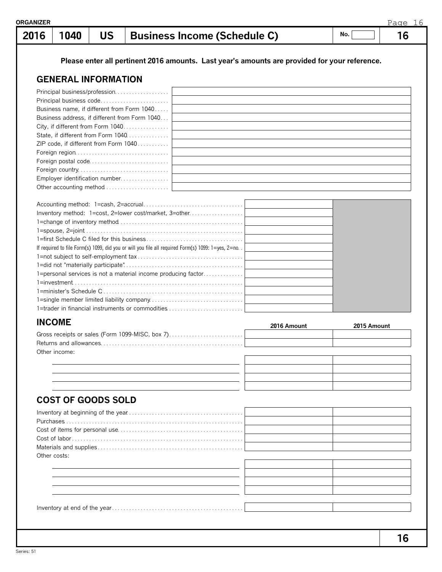| 2016 | 1040                       | <b>US</b> | <b>Business Income (Schedule C)</b>                                                                  |             | 16<br>No.   |
|------|----------------------------|-----------|------------------------------------------------------------------------------------------------------|-------------|-------------|
|      |                            |           | Please enter all pertinent 2016 amounts. Last year's amounts are provided for your reference.        |             |             |
|      | <b>GENERAL INFORMATION</b> |           |                                                                                                      |             |             |
|      |                            |           | Principal business/profession                                                                        |             |             |
|      |                            |           | Principal business code                                                                              |             |             |
|      |                            |           | Business name, if different from Form 1040                                                           |             |             |
|      |                            |           | Business address, if different from Form 1040                                                        |             |             |
|      |                            |           | City, if different from Form 1040<br>State, if different from Form 1040                              |             |             |
|      |                            |           | ZIP code, if different from Form 1040                                                                |             |             |
|      |                            |           |                                                                                                      |             |             |
|      |                            |           | Foreign postal code                                                                                  |             |             |
|      |                            |           |                                                                                                      |             |             |
|      |                            |           | Employer identification number                                                                       |             |             |
|      |                            |           |                                                                                                      |             |             |
|      |                            |           |                                                                                                      |             |             |
|      |                            |           | Inventory method: 1=cost, 2=lower cost/market, 3=other                                               |             |             |
|      |                            |           |                                                                                                      |             |             |
|      |                            |           |                                                                                                      |             |             |
|      |                            |           |                                                                                                      |             |             |
|      |                            |           | If required to file Form(s) 1099, did you or will you file all required Form(s) 1099: 1=yes, 2=no. . |             |             |
|      |                            |           |                                                                                                      |             |             |
|      |                            |           | 1=personal services is not a material income producing factor                                        |             |             |
|      |                            |           |                                                                                                      |             |             |
|      |                            |           |                                                                                                      |             |             |
|      |                            |           |                                                                                                      |             |             |
|      |                            |           | 1-trader in financial instruments or commodities                                                     |             |             |
|      | <b>INCOME</b>              |           |                                                                                                      | 2016 Amount | 2015 Amount |
|      |                            |           | Gross receipts or sales (Form 1099-MISC, box 7)                                                      |             |             |
|      |                            |           |                                                                                                      |             |             |
|      | Other income:              |           |                                                                                                      |             |             |
|      |                            |           |                                                                                                      |             |             |
|      |                            |           |                                                                                                      |             |             |
|      |                            |           |                                                                                                      |             |             |
|      | <b>COST OF GOODS SOLD</b>  |           |                                                                                                      |             |             |
|      |                            |           |                                                                                                      |             |             |
|      |                            |           |                                                                                                      |             |             |
|      |                            |           |                                                                                                      |             |             |
|      |                            |           |                                                                                                      |             |             |
|      | Other costs:               |           |                                                                                                      |             |             |
|      |                            |           |                                                                                                      |             |             |
|      |                            |           |                                                                                                      |             |             |
|      |                            |           |                                                                                                      |             |             |
|      |                            |           |                                                                                                      |             |             |
|      |                            |           |                                                                                                      |             |             |
|      |                            |           |                                                                                                      |             |             |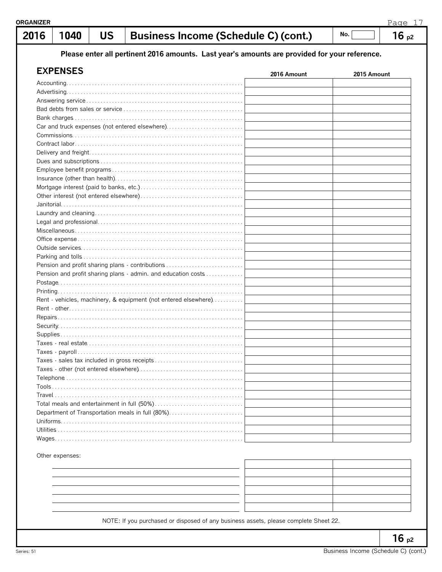| (GANIZER |                 |           |                                                                                               |             |             | raqe ı |
|----------|-----------------|-----------|-----------------------------------------------------------------------------------------------|-------------|-------------|--------|
| 2016     | 1040            | <b>US</b> | <b>Business Income (Schedule C) (cont.)</b>                                                   |             | No.         | 16p2   |
|          |                 |           | Please enter all pertinent 2016 amounts. Last year's amounts are provided for your reference. |             |             |        |
|          | <b>EXPENSES</b> |           |                                                                                               | 2016 Amount | 2015 Amount |        |
|          |                 |           |                                                                                               |             |             |        |
|          |                 |           |                                                                                               |             |             |        |
|          |                 |           |                                                                                               |             |             |        |
|          |                 |           |                                                                                               |             |             |        |
|          |                 |           |                                                                                               |             |             |        |
|          |                 |           | Car and truck expenses (not entered elsewhere)                                                |             |             |        |
|          |                 |           |                                                                                               |             |             |        |
|          |                 |           |                                                                                               |             |             |        |
|          |                 |           |                                                                                               |             |             |        |
|          |                 |           |                                                                                               |             |             |        |
|          |                 |           |                                                                                               |             |             |        |
|          |                 |           |                                                                                               |             |             |        |
|          |                 |           |                                                                                               |             |             |        |
|          |                 |           |                                                                                               |             |             |        |
|          |                 |           |                                                                                               |             |             |        |
|          |                 |           |                                                                                               |             |             |        |
|          |                 |           |                                                                                               |             |             |        |
|          |                 |           |                                                                                               |             |             |        |
|          |                 |           |                                                                                               |             |             |        |
|          |                 |           |                                                                                               |             |             |        |
|          |                 |           |                                                                                               |             |             |        |
|          |                 |           | Pension and profit sharing plans - contributions                                              |             |             |        |
|          |                 |           | Pension and profit sharing plans - admin. and education costs                                 |             |             |        |
|          |                 |           |                                                                                               |             |             |        |
|          |                 |           |                                                                                               |             |             |        |
|          |                 |           | Rent - vehicles, machinery, & equipment (not entered elsewhere)                               |             |             |        |
|          |                 |           |                                                                                               |             |             |        |
|          |                 |           |                                                                                               |             |             |        |
|          |                 |           |                                                                                               |             |             |        |
|          |                 |           |                                                                                               |             |             |        |
|          |                 |           |                                                                                               |             |             |        |
|          |                 |           |                                                                                               |             |             |        |
|          |                 |           |                                                                                               |             |             |        |
|          |                 |           |                                                                                               |             |             |        |
|          |                 |           |                                                                                               |             |             |        |
|          |                 |           |                                                                                               |             |             |        |
|          |                 |           |                                                                                               |             |             |        |
|          |                 |           |                                                                                               |             |             |        |
|          |                 |           | Department of Transportation meals in full (80%)                                              |             |             |        |
|          |                 |           |                                                                                               |             |             |        |
|          |                 |           |                                                                                               |             |             |        |
|          |                 |           |                                                                                               |             |             |        |
|          |                 |           |                                                                                               |             |             |        |

Other expenses:

| _____ |  |
|-------|--|
|       |  |
|       |  |
|       |  |
|       |  |
|       |  |

NOTE: If you purchased or disposed of any business assets, please complete Sheet 22.

**16 p2**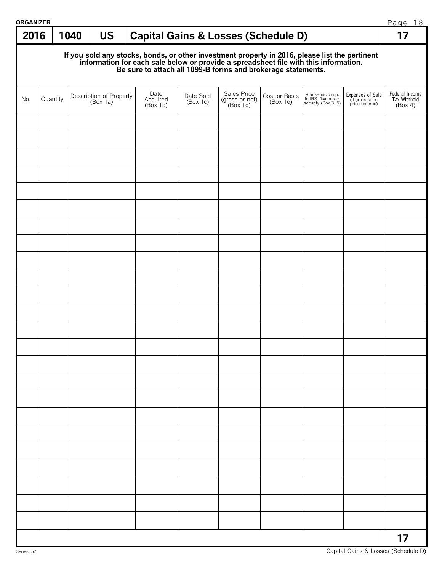| <b>ORGANIZER</b> |                                                                                                                                                                                                                                      |      |                                     |  |                              | Page 18               |                                                |                           |                                                              |                                                       |                                           |
|------------------|--------------------------------------------------------------------------------------------------------------------------------------------------------------------------------------------------------------------------------------|------|-------------------------------------|--|------------------------------|-----------------------|------------------------------------------------|---------------------------|--------------------------------------------------------------|-------------------------------------------------------|-------------------------------------------|
| 2016             |                                                                                                                                                                                                                                      | 1040 | <b>US</b>                           |  |                              |                       | <b>Capital Gains &amp; Losses (Schedule D)</b> |                           |                                                              |                                                       | 17                                        |
|                  | If you sold any stocks, bonds, or other investment property in 2016, please list the pertinent<br>information for each sale below or provide a spreadsheet file with this information.<br>Be sure to attach all 1099-B forms and bro |      |                                     |  |                              |                       |                                                |                           |                                                              |                                                       |                                           |
| No.              | Quantity                                                                                                                                                                                                                             |      | Description of Property<br>(Box 1a) |  | Date<br>Acquired<br>(Box 1b) | Date Sold<br>(Box 1c) | Sales Price<br>(gross or net)<br>(Box 1d)      | Cost or Basis<br>(Box 1e) | Blank=basis rep.<br>to IRS, 1=nonrec.<br>security (Box 3, 5) | Expenses of Sale<br>(if gross sales<br>price entered) | Federal Income<br>Tax Withheld<br>(Box 4) |
|                  |                                                                                                                                                                                                                                      |      |                                     |  |                              |                       |                                                |                           |                                                              |                                                       |                                           |
|                  |                                                                                                                                                                                                                                      |      |                                     |  |                              |                       |                                                |                           |                                                              |                                                       |                                           |
|                  |                                                                                                                                                                                                                                      |      |                                     |  |                              |                       |                                                |                           |                                                              |                                                       |                                           |
|                  |                                                                                                                                                                                                                                      |      |                                     |  |                              |                       |                                                |                           |                                                              |                                                       |                                           |
|                  |                                                                                                                                                                                                                                      |      |                                     |  |                              |                       |                                                |                           |                                                              |                                                       |                                           |
|                  |                                                                                                                                                                                                                                      |      |                                     |  |                              |                       |                                                |                           |                                                              |                                                       |                                           |
|                  |                                                                                                                                                                                                                                      |      |                                     |  |                              |                       |                                                |                           |                                                              |                                                       |                                           |
|                  |                                                                                                                                                                                                                                      |      |                                     |  |                              |                       |                                                |                           |                                                              |                                                       |                                           |
|                  |                                                                                                                                                                                                                                      |      |                                     |  |                              |                       |                                                |                           |                                                              |                                                       |                                           |
|                  |                                                                                                                                                                                                                                      |      |                                     |  |                              |                       |                                                |                           |                                                              |                                                       |                                           |
|                  |                                                                                                                                                                                                                                      |      |                                     |  |                              |                       |                                                |                           |                                                              |                                                       |                                           |
|                  |                                                                                                                                                                                                                                      |      |                                     |  |                              |                       |                                                |                           |                                                              |                                                       |                                           |
|                  |                                                                                                                                                                                                                                      |      |                                     |  |                              |                       |                                                |                           |                                                              |                                                       |                                           |
|                  |                                                                                                                                                                                                                                      |      |                                     |  |                              |                       |                                                |                           |                                                              |                                                       |                                           |
|                  |                                                                                                                                                                                                                                      |      |                                     |  |                              |                       |                                                |                           |                                                              |                                                       |                                           |
|                  |                                                                                                                                                                                                                                      |      |                                     |  |                              |                       |                                                |                           |                                                              |                                                       |                                           |
|                  |                                                                                                                                                                                                                                      |      |                                     |  |                              |                       |                                                |                           |                                                              |                                                       |                                           |
|                  |                                                                                                                                                                                                                                      |      |                                     |  |                              |                       |                                                |                           |                                                              |                                                       |                                           |
|                  |                                                                                                                                                                                                                                      |      |                                     |  |                              |                       |                                                |                           |                                                              |                                                       |                                           |
|                  |                                                                                                                                                                                                                                      |      |                                     |  |                              |                       |                                                |                           |                                                              |                                                       |                                           |
|                  |                                                                                                                                                                                                                                      |      |                                     |  |                              |                       |                                                |                           |                                                              |                                                       |                                           |
|                  |                                                                                                                                                                                                                                      |      |                                     |  |                              |                       |                                                |                           |                                                              |                                                       |                                           |
|                  |                                                                                                                                                                                                                                      |      |                                     |  |                              |                       |                                                |                           |                                                              |                                                       |                                           |
|                  |                                                                                                                                                                                                                                      |      |                                     |  |                              |                       |                                                |                           |                                                              |                                                       |                                           |
|                  |                                                                                                                                                                                                                                      |      |                                     |  |                              |                       |                                                |                           |                                                              |                                                       |                                           |
|                  |                                                                                                                                                                                                                                      |      |                                     |  |                              |                       |                                                |                           |                                                              |                                                       | 17                                        |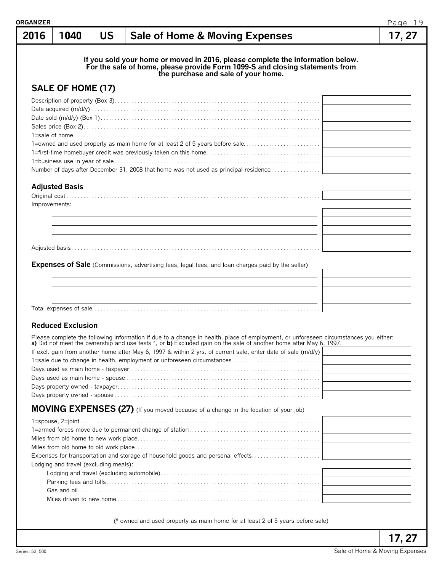| <b>≀GANIZER</b> |                                       |           |                                                                                                                                                                                                                                                                                                                                                                                                                                                      | <u>Paqe l</u> |
|-----------------|---------------------------------------|-----------|------------------------------------------------------------------------------------------------------------------------------------------------------------------------------------------------------------------------------------------------------------------------------------------------------------------------------------------------------------------------------------------------------------------------------------------------------|---------------|
| 2016            | 1040                                  | <b>US</b> | <b>Sale of Home &amp; Moving Expenses</b>                                                                                                                                                                                                                                                                                                                                                                                                            | 17, 27        |
|                 |                                       |           | If you sold your home or moved in 2016, please complete the information below.<br>For the sale of home, please provide Form 1099-S and closing statements from<br>the purchase and sale of your home.                                                                                                                                                                                                                                                |               |
|                 | SALE OF HOME (17)                     |           |                                                                                                                                                                                                                                                                                                                                                                                                                                                      |               |
|                 |                                       |           | 1=owned and used property as main home for at least 2 of 5 years before sale                                                                                                                                                                                                                                                                                                                                                                         |               |
|                 |                                       |           | Number of days after December 31, 2008 that home was not used as principal residence                                                                                                                                                                                                                                                                                                                                                                 |               |
| Improvements:   | <b>Adjusted Basis</b>                 |           |                                                                                                                                                                                                                                                                                                                                                                                                                                                      |               |
|                 |                                       |           | <u> 1989 - Johann Stoff, deutscher Stoffen und der Stoffen und der Stoffen und der Stoffen und der Stoffen und de</u>                                                                                                                                                                                                                                                                                                                                |               |
|                 |                                       |           |                                                                                                                                                                                                                                                                                                                                                                                                                                                      |               |
|                 |                                       |           |                                                                                                                                                                                                                                                                                                                                                                                                                                                      |               |
|                 | <b>Reduced Exclusion</b>              |           |                                                                                                                                                                                                                                                                                                                                                                                                                                                      |               |
|                 |                                       |           | Please complete the following information if due to a change in health, place of employment, or unforeseen circumstances you either:<br>a) Did not meet the ownership and use tests *, or b) Excluded gain on the sale of another home after May 6, 1997.<br>If excl. gain from another home after May 6, 1997 & within 2 yrs. of current sale, enter date of sale (m/d/y)<br>1=sale due to change in health, employment or unforeseen circumstances |               |
|                 |                                       |           | MOVING EXPENSES (27) (If you moved because of a change in the location of your job)                                                                                                                                                                                                                                                                                                                                                                  |               |
|                 | Lodging and travel (excluding meals): |           | Expenses for transportation and storage of household goods and personal effects                                                                                                                                                                                                                                                                                                                                                                      |               |
|                 |                                       |           | (* owned and used property as main home for at least 2 of 5 years before sale)                                                                                                                                                                                                                                                                                                                                                                       |               |

**17, 27**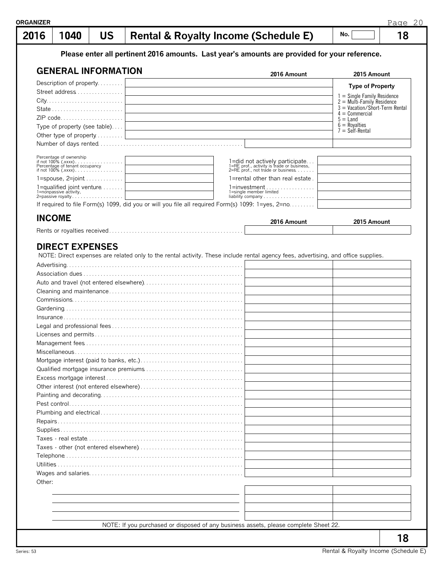| 2016                           | <b>US</b><br>1040                                               |                                                                                                                                                                                                                      | <b>Rental &amp; Royalty Income (Schedule E)</b>                                                                   | 18<br>No.                                          |
|--------------------------------|-----------------------------------------------------------------|----------------------------------------------------------------------------------------------------------------------------------------------------------------------------------------------------------------------|-------------------------------------------------------------------------------------------------------------------|----------------------------------------------------|
|                                |                                                                 |                                                                                                                                                                                                                      | Please enter all pertinent 2016 amounts. Last year's amounts are provided for your reference.                     |                                                    |
|                                | <b>GENERAL INFORMATION</b>                                      |                                                                                                                                                                                                                      | 2016 Amount                                                                                                       | 2015 Amount                                        |
|                                | Description of property                                         |                                                                                                                                                                                                                      |                                                                                                                   | <b>Type of Property</b>                            |
|                                | Street address                                                  |                                                                                                                                                                                                                      |                                                                                                                   | $1 =$ Single Family Residence                      |
|                                | $City. \ldots \ldots \ldots \ldots \ldots \ldots \ldots \ldots$ |                                                                                                                                                                                                                      |                                                                                                                   | $2 =$ Multi-Family Residence                       |
|                                |                                                                 |                                                                                                                                                                                                                      |                                                                                                                   | 3 = Vacation/Short-Term Rental<br>$4 =$ Commercial |
|                                | ZIP code                                                        |                                                                                                                                                                                                                      |                                                                                                                   | $5 =$ Land<br>$6 = \text{Royalties}$               |
|                                | Type of property (see table)                                    |                                                                                                                                                                                                                      |                                                                                                                   | $7 =$ Self-Rental                                  |
|                                |                                                                 | Other type of property    The contract of property in the contract of the contract of the contract of the contract of the contract of the contract of the contract of the contract of the contract of the contract o |                                                                                                                   |                                                    |
|                                |                                                                 |                                                                                                                                                                                                                      |                                                                                                                   |                                                    |
|                                | Percentage of ownership<br>if not 100% (.xxxx)                  |                                                                                                                                                                                                                      |                                                                                                                   |                                                    |
| Percentage of tenant occupancy |                                                                 |                                                                                                                                                                                                                      | 1=did not actively participate<br>1=RE prof., activity is trade or business,<br>2=RE prof., not trade or business |                                                    |
|                                | $1 =$ spouse, $2 =$ joint                                       |                                                                                                                                                                                                                      | 1=rental other than real estate.                                                                                  |                                                    |
| 1=nonpassive activity,         | 1=qualified joint venture $\dots$                               |                                                                                                                                                                                                                      | 1=single member limited                                                                                           |                                                    |
|                                |                                                                 |                                                                                                                                                                                                                      |                                                                                                                   |                                                    |
|                                |                                                                 |                                                                                                                                                                                                                      | If required to file Form(s) 1099, did you or will you file all required Form(s) 1099: 1=yes, 2=no                 |                                                    |
| <b>INCOME</b>                  |                                                                 |                                                                                                                                                                                                                      | 2016 Amount                                                                                                       | 2015 Amount                                        |
|                                |                                                                 |                                                                                                                                                                                                                      |                                                                                                                   |                                                    |
|                                |                                                                 |                                                                                                                                                                                                                      |                                                                                                                   |                                                    |
|                                |                                                                 |                                                                                                                                                                                                                      |                                                                                                                   |                                                    |
|                                |                                                                 |                                                                                                                                                                                                                      |                                                                                                                   |                                                    |
|                                |                                                                 |                                                                                                                                                                                                                      |                                                                                                                   |                                                    |
|                                |                                                                 |                                                                                                                                                                                                                      |                                                                                                                   |                                                    |
|                                |                                                                 |                                                                                                                                                                                                                      |                                                                                                                   |                                                    |
|                                |                                                                 |                                                                                                                                                                                                                      |                                                                                                                   |                                                    |
|                                |                                                                 |                                                                                                                                                                                                                      |                                                                                                                   |                                                    |
|                                |                                                                 |                                                                                                                                                                                                                      |                                                                                                                   |                                                    |
|                                |                                                                 |                                                                                                                                                                                                                      |                                                                                                                   |                                                    |
|                                |                                                                 |                                                                                                                                                                                                                      |                                                                                                                   |                                                    |
|                                |                                                                 |                                                                                                                                                                                                                      |                                                                                                                   |                                                    |
|                                |                                                                 |                                                                                                                                                                                                                      |                                                                                                                   |                                                    |
|                                |                                                                 |                                                                                                                                                                                                                      |                                                                                                                   |                                                    |
|                                |                                                                 |                                                                                                                                                                                                                      |                                                                                                                   |                                                    |
|                                |                                                                 |                                                                                                                                                                                                                      |                                                                                                                   |                                                    |
|                                |                                                                 |                                                                                                                                                                                                                      |                                                                                                                   |                                                    |
|                                |                                                                 |                                                                                                                                                                                                                      |                                                                                                                   |                                                    |
|                                |                                                                 |                                                                                                                                                                                                                      |                                                                                                                   |                                                    |
|                                |                                                                 |                                                                                                                                                                                                                      |                                                                                                                   |                                                    |
|                                |                                                                 |                                                                                                                                                                                                                      |                                                                                                                   |                                                    |
| Other:                         |                                                                 |                                                                                                                                                                                                                      |                                                                                                                   |                                                    |
|                                |                                                                 |                                                                                                                                                                                                                      |                                                                                                                   |                                                    |
|                                |                                                                 |                                                                                                                                                                                                                      |                                                                                                                   |                                                    |
|                                |                                                                 |                                                                                                                                                                                                                      | NOTE: If you purchased or disposed of any business assets, please complete Sheet 22.                              |                                                    |

**ORGANIZER**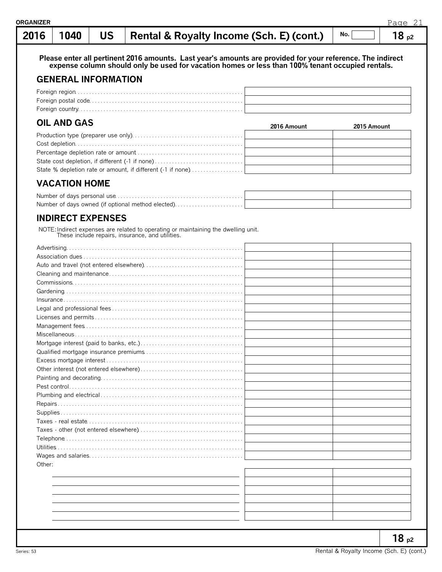#### **1040** | **US** | Rental & Royalty Income (Sch. E) (cont.) | No. 18 p2 **No. 2016**

**Please enter all pertinent 2016 amounts. Last year's amounts are provided for your reference. The indirect expense column should only be used for vacation homes or less than 100% tenant occupied rentals.**

#### **GENERAL INFORMATION**

#### **OIL AND GAS**

| <b>UIL AND GAS</b>                                          | 2016 Amount | 2015 Amount |
|-------------------------------------------------------------|-------------|-------------|
|                                                             |             |             |
|                                                             |             |             |
|                                                             |             |             |
|                                                             |             |             |
| State % depletion rate or amount, if different (-1 if none) |             |             |

#### **VACATION HOME**

| Number of days owned (if optional method elected) |  |
|---------------------------------------------------|--|

#### **INDIRECT EXPENSES**

NOTE:Indirect expenses are related to operating or maintaining the dwelling unit. These include repairs, insurance, and utilities.

| Other: |  |
|--------|--|
|        |  |
|        |  |
|        |  |
|        |  |
|        |  |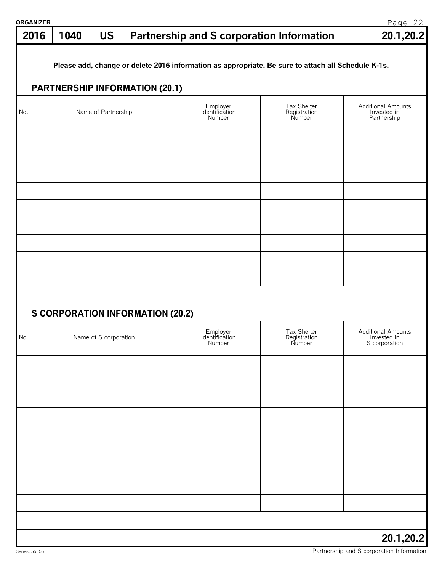# **2016**

| 2016                                                                                               | 20.1,20.2                               |  |                                      |                                       |                                                           |  |  |  |
|----------------------------------------------------------------------------------------------------|-----------------------------------------|--|--------------------------------------|---------------------------------------|-----------------------------------------------------------|--|--|--|
| Please add, change or delete 2016 information as appropriate. Be sure to attach all Schedule K-1s. |                                         |  |                                      |                                       |                                                           |  |  |  |
| <b>PARTNERSHIP INFORMATION (20.1)</b>                                                              |                                         |  |                                      |                                       |                                                           |  |  |  |
| No.                                                                                                | Name of Partnership                     |  | Employer<br>Identification<br>Number | Tax Shelter<br>Registration<br>Number | <b>Additional Amounts</b><br>Invested in<br>Partnership   |  |  |  |
|                                                                                                    |                                         |  |                                      |                                       |                                                           |  |  |  |
|                                                                                                    |                                         |  |                                      |                                       |                                                           |  |  |  |
|                                                                                                    |                                         |  |                                      |                                       |                                                           |  |  |  |
|                                                                                                    |                                         |  |                                      |                                       |                                                           |  |  |  |
|                                                                                                    | <b>S CORPORATION INFORMATION (20.2)</b> |  |                                      |                                       |                                                           |  |  |  |
| No.                                                                                                | Name of S corporation                   |  | Employer<br>Identification<br>Number | Tax Shelter<br>Registration<br>Number | <b>Additional Amounts</b><br>Invested in<br>S corporation |  |  |  |
|                                                                                                    |                                         |  |                                      |                                       |                                                           |  |  |  |
|                                                                                                    |                                         |  |                                      |                                       |                                                           |  |  |  |
|                                                                                                    |                                         |  |                                      |                                       |                                                           |  |  |  |
|                                                                                                    |                                         |  |                                      |                                       |                                                           |  |  |  |
|                                                                                                    |                                         |  |                                      |                                       |                                                           |  |  |  |
|                                                                                                    |                                         |  |                                      |                                       | 20.1,20.2                                                 |  |  |  |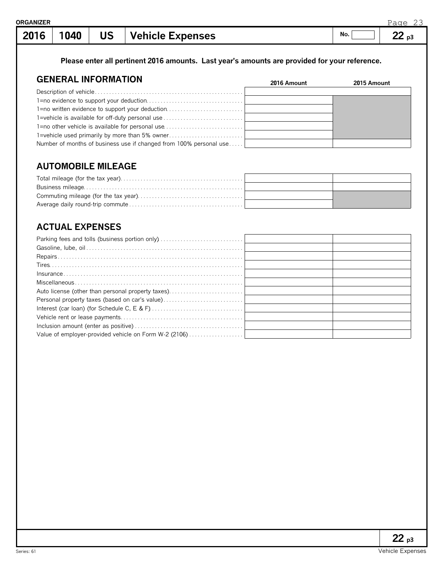| <b>RGANIZER</b> |      |    |                         |     | Page<br>ے تے |
|-----------------|------|----|-------------------------|-----|--------------|
| 2016            | 1040 | US | <b>Vehicle Expenses</b> | No. | nn.<br>D.    |

#### **Please enter all pertinent 2016 amounts. Last year's amounts are provided for your reference.**

#### **GENERAL INFORMATION**

| GENERAL INFORMATION                                                | 2016 Amount | 2015 Amount |
|--------------------------------------------------------------------|-------------|-------------|
|                                                                    |             |             |
|                                                                    |             |             |
| 1=no written evidence to support your deduction                    |             |             |
|                                                                    |             |             |
| 1=no other vehicle is available for personal use                   |             |             |
| 1=vehicle used primarily by more than 5% owner                     |             |             |
| Number of months of business use if changed from 100% personal use |             |             |

#### **AUTOMOBILE MILEAGE**

#### **ACTUAL EXPENSES**

| Auto license (other than personal property taxes)     |  |
|-------------------------------------------------------|--|
| Personal property taxes (based on car's value)        |  |
|                                                       |  |
|                                                       |  |
|                                                       |  |
| Value of employer-provided vehicle on Form W-2 (2106) |  |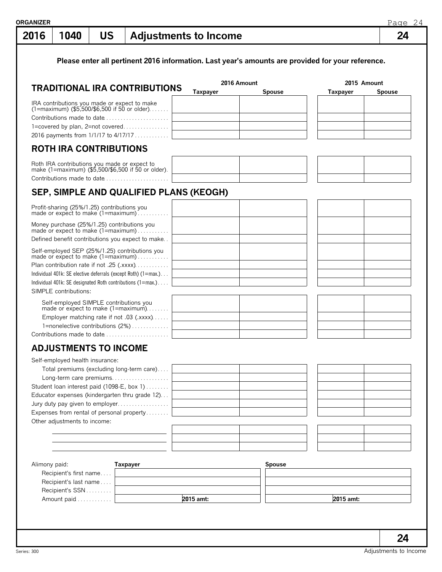| 2016          | 1040                                                                                            | <b>US</b> | <b>Adjustments to Income</b>                                                                                                                                                                                                                                     |                 |                                                                                                   |                                | 24     |
|---------------|-------------------------------------------------------------------------------------------------|-----------|------------------------------------------------------------------------------------------------------------------------------------------------------------------------------------------------------------------------------------------------------------------|-----------------|---------------------------------------------------------------------------------------------------|--------------------------------|--------|
|               |                                                                                                 |           |                                                                                                                                                                                                                                                                  |                 | Please enter all pertinent 2016 information. Last year's amounts are provided for your reference. |                                |        |
|               |                                                                                                 |           | <b>TRADITIONAL IRA CONTRIBUTIONS</b>                                                                                                                                                                                                                             | <b>Taxpayer</b> | 2016 Amount<br><b>Spouse</b>                                                                      | 2015 Amount<br><b>Taxpayer</b> | Spouse |
|               | <b>ROTH IRA CONTRIBUTIONS</b>                                                                   |           | IRA contributions you made or expect to make<br>(1=maximum) (\$5,500/\$6,500 if 50 or older)<br>Contributions made to date<br>1=covered by plan, 2=not covered<br>2016 payments from 1/1/17 to 4/17/17                                                           |                 |                                                                                                   |                                |        |
|               |                                                                                                 |           | Roth IRA contributions you made or expect to<br>make (1=maximum) (\$5,500/\$6,500 if 50 or older).<br>Contributions made to date<br>SEP, SIMPLE AND QUALIFIED PLANS (KEOGH)                                                                                      |                 |                                                                                                   |                                |        |
|               |                                                                                                 |           |                                                                                                                                                                                                                                                                  |                 |                                                                                                   |                                |        |
|               |                                                                                                 |           | Profit-sharing (25%/1.25) contributions you<br>made or expect to make (1=maximum)<br>Money purchase (25%/1.25) contributions you<br>made or expect to make (1=maximum)<br>Defined benefit contributions you expect to make                                       |                 |                                                                                                   |                                |        |
|               | SIMPLE contributions:                                                                           |           | Self-employed SEP (25%/1.25) contributions you<br>made or expect to make (1=maximum)<br>Plan contribution rate if not .25 (.xxxx)<br>Individual 401k: SE elective deferrals (except Roth) (1=max.)<br>Individual 401k: SE designated Roth contributions (1=max.) |                 |                                                                                                   |                                |        |
|               | Self-employed SIMPLE contributions you                                                          |           | made or expect to make (1=maximum)<br>Employer matching rate if not .03 $(xxxx)$<br>1=nonelective contributions $(2\%)$<br>Contributions made to date                                                                                                            |                 |                                                                                                   |                                |        |
|               | <b>ADJUSTMENTS TO INCOME</b><br>Self-employed health insurance:<br>Other adjustments to income: |           | Total premiums (excluding long-term care)<br>Long-term care premiums<br>Student Ioan interest paid (1098-E, box 1)<br>Educator expenses (kindergarten thru grade 12)<br>Jury duty pay given to employer<br>Expenses from rental of personal property             |                 |                                                                                                   |                                |        |
| Alimony paid: |                                                                                                 |           | <b>Taxpayer</b>                                                                                                                                                                                                                                                  |                 | <b>Spouse</b>                                                                                     |                                |        |
|               | Recipient's first name<br>Recipient's last name<br>Recipient's SSN<br>Amount paid               |           |                                                                                                                                                                                                                                                                  | 2015 amt:       |                                                                                                   | 2015 amt:                      |        |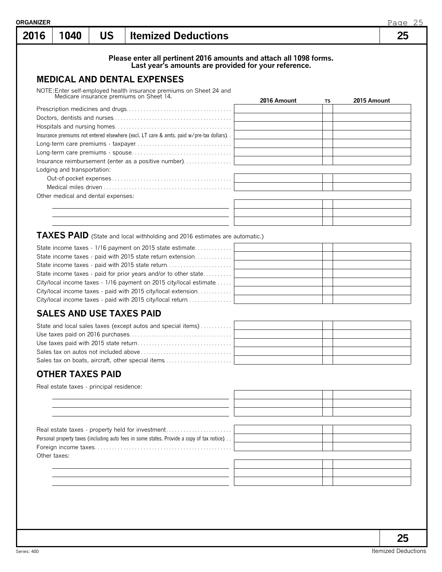| 2016 | 1040                        | <b>US</b>                                | <b>Itemized Deductions</b>                                                                                                  |             |    | 25          |
|------|-----------------------------|------------------------------------------|-----------------------------------------------------------------------------------------------------------------------------|-------------|----|-------------|
|      |                             |                                          | Please enter all pertinent 2016 amounts and attach all 1098 forms.<br>Last year's amounts are provided for your reference.  |             |    |             |
|      |                             |                                          | <b>MEDICAL AND DENTAL EXPENSES</b>                                                                                          |             |    |             |
|      |                             |                                          | NOTE: Enter self-employed health insurance premiums on Sheet 24 and<br>Medicare insurance premiums on Sheet 14.             | 2016 Amount | ΤS | 2015 Amount |
|      |                             |                                          |                                                                                                                             |             |    |             |
|      |                             |                                          |                                                                                                                             |             |    |             |
|      |                             |                                          |                                                                                                                             |             |    |             |
|      |                             |                                          | Insurance premiums not entered elsewhere (excl. LT care & amts. paid w/pre-tax dollars). .                                  |             |    |             |
|      |                             |                                          |                                                                                                                             |             |    |             |
|      |                             |                                          | Insurance reimbursement (enter as a positive number)                                                                        |             |    |             |
|      | Lodging and transportation: |                                          |                                                                                                                             |             |    |             |
|      |                             |                                          |                                                                                                                             |             |    |             |
|      |                             |                                          |                                                                                                                             |             |    |             |
|      |                             | Other medical and dental expenses:       |                                                                                                                             |             |    |             |
|      |                             |                                          |                                                                                                                             |             |    |             |
|      |                             |                                          |                                                                                                                             |             |    |             |
|      |                             |                                          |                                                                                                                             |             |    |             |
|      |                             |                                          | TAXES PAID (State and local withholding and 2016 estimates are automatic.)                                                  |             |    |             |
|      |                             |                                          | State income taxes - 1/16 payment on 2015 state estimate                                                                    |             |    |             |
|      |                             |                                          | State income taxes - paid with 2015 state return extension                                                                  |             |    |             |
|      |                             |                                          |                                                                                                                             |             |    |             |
|      |                             |                                          | State income taxes - paid for prior years and/or to other state                                                             |             |    |             |
|      |                             |                                          | City/local income taxes - 1/16 payment on 2015 city/local estimate                                                          |             |    |             |
|      |                             |                                          | City/local income taxes - paid with 2015 city/local extension<br>City/local income taxes - paid with 2015 city/local return |             |    |             |
|      |                             |                                          | <b>SALES AND USE TAXES PAID</b>                                                                                             |             |    |             |
|      |                             |                                          |                                                                                                                             |             |    |             |
|      |                             |                                          | State and local sales taxes (except autos and special items)                                                                |             |    |             |
|      |                             |                                          |                                                                                                                             |             |    |             |
|      |                             |                                          |                                                                                                                             |             |    |             |
|      |                             |                                          | Sales tax on boats, aircraft, other special items                                                                           |             |    |             |
|      | <b>OTHER TAXES PAID</b>     |                                          |                                                                                                                             |             |    |             |
|      |                             | Real estate taxes - principal residence: |                                                                                                                             |             |    |             |
|      |                             |                                          |                                                                                                                             |             |    |             |
|      |                             |                                          |                                                                                                                             |             |    |             |
|      |                             |                                          |                                                                                                                             |             |    |             |
|      |                             |                                          |                                                                                                                             |             |    |             |
|      |                             |                                          | Real estate taxes - property held for investment                                                                            |             |    |             |
|      |                             |                                          | Personal property taxes (including auto fees in some states. Provide a copy of tax notice)                                  |             |    |             |

Other taxes: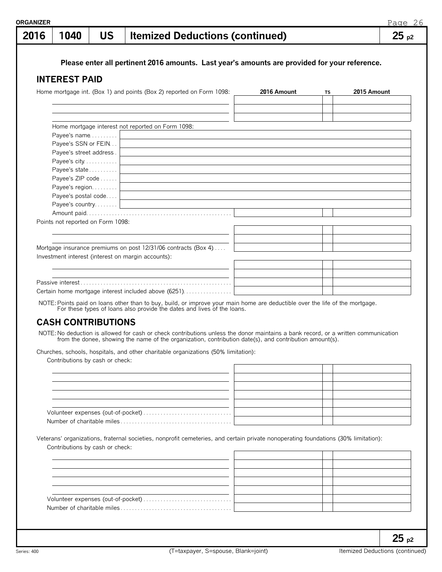| Please enter all pertinent 2016 amounts. Last year's amounts are provided for your reference.<br><b>INTEREST PAID</b><br>Home mortgage int. (Box 1) and points (Box 2) reported on Form 1098:<br>2016 Amount<br>Home mortgage interest not reported on Form 1098:<br>Payee's name<br>and the control of the control of the control of the control of the control of the control of the control of the<br>Payee's SSN or FEIN<br>Payee's street address.<br>Payee's city<br><u> 1989 - Johann Stoff, amerikansk politiker (d. 1989)</u><br>Payee's state<br><u> 1989 - Johann Harry Barn, mars ar brenin beskriuwer yn de ferfinning yn de ferfinning yn de ferfinning yn de</u><br>Payee's ZIP code<br><u> 1989 - Johann Barn, mars ar breithinn ar chwaraeth a bhaile ann an t-an an t-an an t-an ann an t-an an t-an a</u><br>Payee's region.<br><u> 1989 - Johann Stoff, deutscher Stoffen und der Stoffen und der Stoffen und der Stoffen und der Stoffen und der</u><br>Payee's postal code<br>Points not reported on Form 1098:<br>Mortgage insurance premiums on post 12/31/06 contracts (Box 4)<br>Investment interest (interest on margin accounts):<br>Certain home mortgage interest included above (6251)<br>NOTE: Points paid on loans other than to buy, build, or improve your main home are deductible over the life of the mortgage.<br>For these types of loans also provide the dates and lives of the loans.<br><b>CASH CONTRIBUTIONS</b><br>NOTE: No deduction is allowed for cash or check contributions unless the donor maintains a bank record, or a written communication<br>from the donee, showing the name of the organization, contribution date(s), and contribution amount(s).<br>Churches, schools, hospitals, and other charitable organizations (50% limitation):<br>Contributions by cash or check: | <b>TS</b> | 2015 Amount |
|-----------------------------------------------------------------------------------------------------------------------------------------------------------------------------------------------------------------------------------------------------------------------------------------------------------------------------------------------------------------------------------------------------------------------------------------------------------------------------------------------------------------------------------------------------------------------------------------------------------------------------------------------------------------------------------------------------------------------------------------------------------------------------------------------------------------------------------------------------------------------------------------------------------------------------------------------------------------------------------------------------------------------------------------------------------------------------------------------------------------------------------------------------------------------------------------------------------------------------------------------------------------------------------------------------------------------------------------------------------------------------------------------------------------------------------------------------------------------------------------------------------------------------------------------------------------------------------------------------------------------------------------------------------------------------------------------------------------------------------------------------------------------------------------------------------------------------------------|-----------|-------------|
|                                                                                                                                                                                                                                                                                                                                                                                                                                                                                                                                                                                                                                                                                                                                                                                                                                                                                                                                                                                                                                                                                                                                                                                                                                                                                                                                                                                                                                                                                                                                                                                                                                                                                                                                                                                                                                         |           |             |
|                                                                                                                                                                                                                                                                                                                                                                                                                                                                                                                                                                                                                                                                                                                                                                                                                                                                                                                                                                                                                                                                                                                                                                                                                                                                                                                                                                                                                                                                                                                                                                                                                                                                                                                                                                                                                                         |           |             |
|                                                                                                                                                                                                                                                                                                                                                                                                                                                                                                                                                                                                                                                                                                                                                                                                                                                                                                                                                                                                                                                                                                                                                                                                                                                                                                                                                                                                                                                                                                                                                                                                                                                                                                                                                                                                                                         |           |             |
|                                                                                                                                                                                                                                                                                                                                                                                                                                                                                                                                                                                                                                                                                                                                                                                                                                                                                                                                                                                                                                                                                                                                                                                                                                                                                                                                                                                                                                                                                                                                                                                                                                                                                                                                                                                                                                         |           |             |
|                                                                                                                                                                                                                                                                                                                                                                                                                                                                                                                                                                                                                                                                                                                                                                                                                                                                                                                                                                                                                                                                                                                                                                                                                                                                                                                                                                                                                                                                                                                                                                                                                                                                                                                                                                                                                                         |           |             |
|                                                                                                                                                                                                                                                                                                                                                                                                                                                                                                                                                                                                                                                                                                                                                                                                                                                                                                                                                                                                                                                                                                                                                                                                                                                                                                                                                                                                                                                                                                                                                                                                                                                                                                                                                                                                                                         |           |             |
|                                                                                                                                                                                                                                                                                                                                                                                                                                                                                                                                                                                                                                                                                                                                                                                                                                                                                                                                                                                                                                                                                                                                                                                                                                                                                                                                                                                                                                                                                                                                                                                                                                                                                                                                                                                                                                         |           |             |
|                                                                                                                                                                                                                                                                                                                                                                                                                                                                                                                                                                                                                                                                                                                                                                                                                                                                                                                                                                                                                                                                                                                                                                                                                                                                                                                                                                                                                                                                                                                                                                                                                                                                                                                                                                                                                                         |           |             |
|                                                                                                                                                                                                                                                                                                                                                                                                                                                                                                                                                                                                                                                                                                                                                                                                                                                                                                                                                                                                                                                                                                                                                                                                                                                                                                                                                                                                                                                                                                                                                                                                                                                                                                                                                                                                                                         |           |             |
|                                                                                                                                                                                                                                                                                                                                                                                                                                                                                                                                                                                                                                                                                                                                                                                                                                                                                                                                                                                                                                                                                                                                                                                                                                                                                                                                                                                                                                                                                                                                                                                                                                                                                                                                                                                                                                         |           |             |
|                                                                                                                                                                                                                                                                                                                                                                                                                                                                                                                                                                                                                                                                                                                                                                                                                                                                                                                                                                                                                                                                                                                                                                                                                                                                                                                                                                                                                                                                                                                                                                                                                                                                                                                                                                                                                                         |           |             |
|                                                                                                                                                                                                                                                                                                                                                                                                                                                                                                                                                                                                                                                                                                                                                                                                                                                                                                                                                                                                                                                                                                                                                                                                                                                                                                                                                                                                                                                                                                                                                                                                                                                                                                                                                                                                                                         |           |             |
|                                                                                                                                                                                                                                                                                                                                                                                                                                                                                                                                                                                                                                                                                                                                                                                                                                                                                                                                                                                                                                                                                                                                                                                                                                                                                                                                                                                                                                                                                                                                                                                                                                                                                                                                                                                                                                         |           |             |
|                                                                                                                                                                                                                                                                                                                                                                                                                                                                                                                                                                                                                                                                                                                                                                                                                                                                                                                                                                                                                                                                                                                                                                                                                                                                                                                                                                                                                                                                                                                                                                                                                                                                                                                                                                                                                                         |           |             |
|                                                                                                                                                                                                                                                                                                                                                                                                                                                                                                                                                                                                                                                                                                                                                                                                                                                                                                                                                                                                                                                                                                                                                                                                                                                                                                                                                                                                                                                                                                                                                                                                                                                                                                                                                                                                                                         |           |             |
|                                                                                                                                                                                                                                                                                                                                                                                                                                                                                                                                                                                                                                                                                                                                                                                                                                                                                                                                                                                                                                                                                                                                                                                                                                                                                                                                                                                                                                                                                                                                                                                                                                                                                                                                                                                                                                         |           |             |
|                                                                                                                                                                                                                                                                                                                                                                                                                                                                                                                                                                                                                                                                                                                                                                                                                                                                                                                                                                                                                                                                                                                                                                                                                                                                                                                                                                                                                                                                                                                                                                                                                                                                                                                                                                                                                                         |           |             |
|                                                                                                                                                                                                                                                                                                                                                                                                                                                                                                                                                                                                                                                                                                                                                                                                                                                                                                                                                                                                                                                                                                                                                                                                                                                                                                                                                                                                                                                                                                                                                                                                                                                                                                                                                                                                                                         |           |             |
|                                                                                                                                                                                                                                                                                                                                                                                                                                                                                                                                                                                                                                                                                                                                                                                                                                                                                                                                                                                                                                                                                                                                                                                                                                                                                                                                                                                                                                                                                                                                                                                                                                                                                                                                                                                                                                         |           |             |
|                                                                                                                                                                                                                                                                                                                                                                                                                                                                                                                                                                                                                                                                                                                                                                                                                                                                                                                                                                                                                                                                                                                                                                                                                                                                                                                                                                                                                                                                                                                                                                                                                                                                                                                                                                                                                                         |           |             |
|                                                                                                                                                                                                                                                                                                                                                                                                                                                                                                                                                                                                                                                                                                                                                                                                                                                                                                                                                                                                                                                                                                                                                                                                                                                                                                                                                                                                                                                                                                                                                                                                                                                                                                                                                                                                                                         |           |             |
|                                                                                                                                                                                                                                                                                                                                                                                                                                                                                                                                                                                                                                                                                                                                                                                                                                                                                                                                                                                                                                                                                                                                                                                                                                                                                                                                                                                                                                                                                                                                                                                                                                                                                                                                                                                                                                         |           |             |
|                                                                                                                                                                                                                                                                                                                                                                                                                                                                                                                                                                                                                                                                                                                                                                                                                                                                                                                                                                                                                                                                                                                                                                                                                                                                                                                                                                                                                                                                                                                                                                                                                                                                                                                                                                                                                                         |           |             |
|                                                                                                                                                                                                                                                                                                                                                                                                                                                                                                                                                                                                                                                                                                                                                                                                                                                                                                                                                                                                                                                                                                                                                                                                                                                                                                                                                                                                                                                                                                                                                                                                                                                                                                                                                                                                                                         |           |             |
|                                                                                                                                                                                                                                                                                                                                                                                                                                                                                                                                                                                                                                                                                                                                                                                                                                                                                                                                                                                                                                                                                                                                                                                                                                                                                                                                                                                                                                                                                                                                                                                                                                                                                                                                                                                                                                         |           |             |
|                                                                                                                                                                                                                                                                                                                                                                                                                                                                                                                                                                                                                                                                                                                                                                                                                                                                                                                                                                                                                                                                                                                                                                                                                                                                                                                                                                                                                                                                                                                                                                                                                                                                                                                                                                                                                                         |           |             |
|                                                                                                                                                                                                                                                                                                                                                                                                                                                                                                                                                                                                                                                                                                                                                                                                                                                                                                                                                                                                                                                                                                                                                                                                                                                                                                                                                                                                                                                                                                                                                                                                                                                                                                                                                                                                                                         |           |             |
|                                                                                                                                                                                                                                                                                                                                                                                                                                                                                                                                                                                                                                                                                                                                                                                                                                                                                                                                                                                                                                                                                                                                                                                                                                                                                                                                                                                                                                                                                                                                                                                                                                                                                                                                                                                                                                         |           |             |
|                                                                                                                                                                                                                                                                                                                                                                                                                                                                                                                                                                                                                                                                                                                                                                                                                                                                                                                                                                                                                                                                                                                                                                                                                                                                                                                                                                                                                                                                                                                                                                                                                                                                                                                                                                                                                                         |           |             |
|                                                                                                                                                                                                                                                                                                                                                                                                                                                                                                                                                                                                                                                                                                                                                                                                                                                                                                                                                                                                                                                                                                                                                                                                                                                                                                                                                                                                                                                                                                                                                                                                                                                                                                                                                                                                                                         |           |             |
|                                                                                                                                                                                                                                                                                                                                                                                                                                                                                                                                                                                                                                                                                                                                                                                                                                                                                                                                                                                                                                                                                                                                                                                                                                                                                                                                                                                                                                                                                                                                                                                                                                                                                                                                                                                                                                         |           |             |
|                                                                                                                                                                                                                                                                                                                                                                                                                                                                                                                                                                                                                                                                                                                                                                                                                                                                                                                                                                                                                                                                                                                                                                                                                                                                                                                                                                                                                                                                                                                                                                                                                                                                                                                                                                                                                                         |           |             |
|                                                                                                                                                                                                                                                                                                                                                                                                                                                                                                                                                                                                                                                                                                                                                                                                                                                                                                                                                                                                                                                                                                                                                                                                                                                                                                                                                                                                                                                                                                                                                                                                                                                                                                                                                                                                                                         |           |             |
|                                                                                                                                                                                                                                                                                                                                                                                                                                                                                                                                                                                                                                                                                                                                                                                                                                                                                                                                                                                                                                                                                                                                                                                                                                                                                                                                                                                                                                                                                                                                                                                                                                                                                                                                                                                                                                         |           |             |
|                                                                                                                                                                                                                                                                                                                                                                                                                                                                                                                                                                                                                                                                                                                                                                                                                                                                                                                                                                                                                                                                                                                                                                                                                                                                                                                                                                                                                                                                                                                                                                                                                                                                                                                                                                                                                                         |           |             |
| Veterans' organizations, fraternal societies, nonprofit cemeteries, and certain private nonoperating foundations (30% limitation):                                                                                                                                                                                                                                                                                                                                                                                                                                                                                                                                                                                                                                                                                                                                                                                                                                                                                                                                                                                                                                                                                                                                                                                                                                                                                                                                                                                                                                                                                                                                                                                                                                                                                                      |           |             |
| Contributions by cash or check:                                                                                                                                                                                                                                                                                                                                                                                                                                                                                                                                                                                                                                                                                                                                                                                                                                                                                                                                                                                                                                                                                                                                                                                                                                                                                                                                                                                                                                                                                                                                                                                                                                                                                                                                                                                                         |           |             |
|                                                                                                                                                                                                                                                                                                                                                                                                                                                                                                                                                                                                                                                                                                                                                                                                                                                                                                                                                                                                                                                                                                                                                                                                                                                                                                                                                                                                                                                                                                                                                                                                                                                                                                                                                                                                                                         |           |             |
|                                                                                                                                                                                                                                                                                                                                                                                                                                                                                                                                                                                                                                                                                                                                                                                                                                                                                                                                                                                                                                                                                                                                                                                                                                                                                                                                                                                                                                                                                                                                                                                                                                                                                                                                                                                                                                         |           |             |
|                                                                                                                                                                                                                                                                                                                                                                                                                                                                                                                                                                                                                                                                                                                                                                                                                                                                                                                                                                                                                                                                                                                                                                                                                                                                                                                                                                                                                                                                                                                                                                                                                                                                                                                                                                                                                                         |           |             |
|                                                                                                                                                                                                                                                                                                                                                                                                                                                                                                                                                                                                                                                                                                                                                                                                                                                                                                                                                                                                                                                                                                                                                                                                                                                                                                                                                                                                                                                                                                                                                                                                                                                                                                                                                                                                                                         |           |             |
|                                                                                                                                                                                                                                                                                                                                                                                                                                                                                                                                                                                                                                                                                                                                                                                                                                                                                                                                                                                                                                                                                                                                                                                                                                                                                                                                                                                                                                                                                                                                                                                                                                                                                                                                                                                                                                         |           |             |

**25 p2**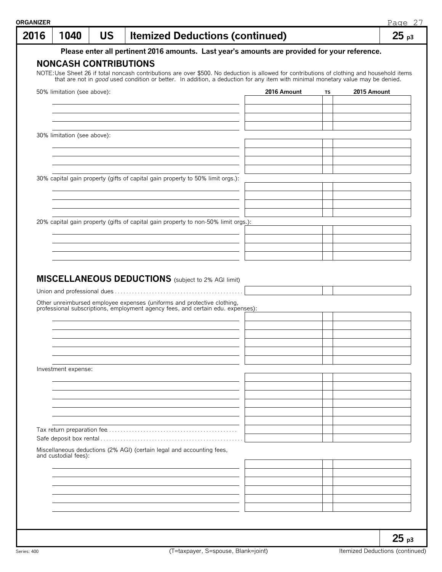# Tax return preparation fee. . . . . . . . . . . . . . . . . . . . . . . . . . . . . . . . . . . . . . . . . . . . . . Safe deposit box rental . . . . . . . . . . . . . . . . . . . . . . . . . . . . . . . . . . . . . . . . . . . . . . . . . . Investment expense: **MISCELLANEOUS DEDUCTIONS** (subject to 2% AGI limit) Union and professional dues. 50% limitation (see above): 30% limitation (see above): 30% capital gain property (gifts of capital gain property to 50% limit orgs.): 20% capital gain property (gifts of capital gain property to non-50% limit orgs.): **Please enter all pertinent 2016 amounts. Last year's amounts are provided for your reference. NONCASH CONTRIBUTIONS TS** Other unreimbursed employee expenses (uniforms and protective clothing, professional subscriptions, employment agency fees, and certain edu. expenses): Miscellaneous deductions (2% AGI) (certain legal and accounting fees, and custodial fees): **1040 US Itemized Deductions (continued) 25 p3** NOTE:Use Sheet 26 if total noncash contributions are over \$500. No deduction is allowed for contributions of clothing and household items that are not in *good* used condition or better. In addition, a deduction for any item with minimal monetary value may be denied. **2016 2016 Amount 2015 Amount** Page

**25 p3**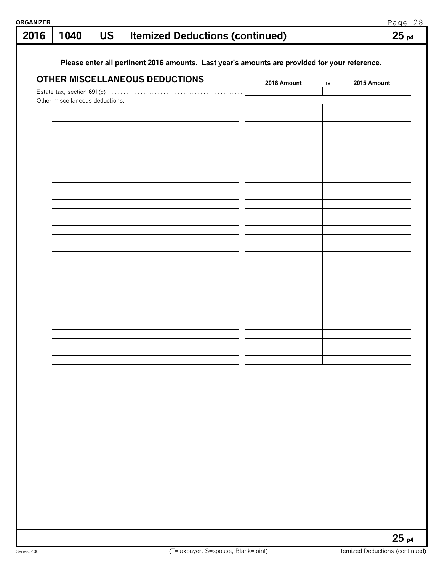| 2016 | 1040                            | <b>US</b> | <b>Itemized Deductions (continued)</b>                                                        |             |           | 25p4        |
|------|---------------------------------|-----------|-----------------------------------------------------------------------------------------------|-------------|-----------|-------------|
|      |                                 |           | Please enter all pertinent 2016 amounts. Last year's amounts are provided for your reference. |             |           |             |
|      |                                 |           | OTHER MISCELLANEOUS DEDUCTIONS                                                                | 2016 Amount | <b>TS</b> | 2015 Amount |
|      | Other miscellaneous deductions: |           |                                                                                               |             |           |             |
|      |                                 |           |                                                                                               |             |           |             |
|      |                                 |           |                                                                                               |             |           |             |
|      |                                 |           |                                                                                               |             |           |             |
|      |                                 |           |                                                                                               |             |           |             |
|      |                                 |           |                                                                                               |             |           |             |
|      |                                 |           |                                                                                               |             |           |             |
|      |                                 |           |                                                                                               |             |           |             |
|      |                                 |           |                                                                                               |             |           |             |
|      |                                 |           |                                                                                               |             |           |             |
|      |                                 |           |                                                                                               |             |           |             |
|      |                                 |           |                                                                                               |             |           |             |
|      |                                 |           |                                                                                               |             |           |             |
|      |                                 |           |                                                                                               |             |           |             |
|      |                                 |           |                                                                                               |             |           |             |
|      |                                 |           |                                                                                               |             |           |             |
|      |                                 |           |                                                                                               |             |           |             |
|      |                                 |           |                                                                                               |             |           |             |
|      |                                 |           |                                                                                               |             |           |             |
|      |                                 |           |                                                                                               |             |           |             |
|      |                                 |           |                                                                                               |             |           |             |
|      |                                 |           |                                                                                               |             |           |             |
|      |                                 |           |                                                                                               |             |           |             |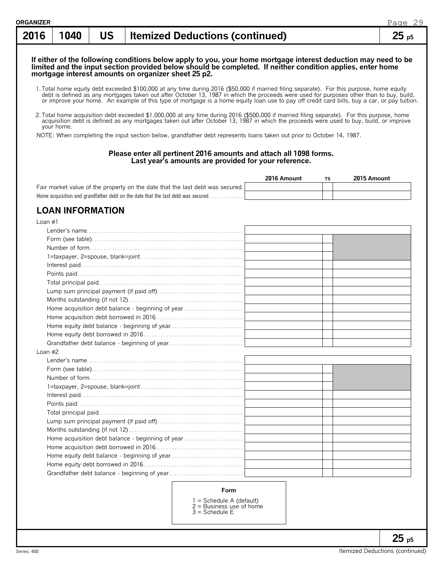#### **If either of the following conditions below apply to you, your home mortgage interest deduction may need to be limited and the input section provided below should be completed. If neither condition applies, enter home mortgage interest amounts on organizer sheet 25 p2.**

- 1. Total home equity debt exceeded \$100,000 at any time during 2016 (\$50,000 if married filing separate). For this purpose, home equity debt is defined as any mortgages taken out after October 13, 1987 in which the proceeds were used for purposes other than to buy, build,<br>or improve your home. An example of this type of mortgage is a home equity loan use t
- 2. Total home acquisition debt exceeded \$1,000,000 at any time during 2016 (\$500,000 if married filing separate). For this purpose, home acquisition debt is defined as any mortgages taken out after October 13, 1987 in which the proceeds were used to buy, build, or improve your home.

NOTE: When completing the input section below, grandfather debt represents loans taken out prior to October 14, 1987.

#### **Please enter all pertinent 2016 amounts and attach all 1098 forms. Last year's amounts are provided for your reference.**

|                                                                                                         | 2016 Amount | TS | 2015 Amount |
|---------------------------------------------------------------------------------------------------------|-------------|----|-------------|
| Fair market value of the property on the date that the last debt was secured                            |             |    |             |
| Home acquisition and grandfather debt on the date that the last debt was secured $\ldots \ldots \ldots$ |             |    |             |

#### **LOAN INFORMATION**

| Loan #1                                           |  |
|---------------------------------------------------|--|
|                                                   |  |
|                                                   |  |
|                                                   |  |
|                                                   |  |
|                                                   |  |
|                                                   |  |
|                                                   |  |
|                                                   |  |
|                                                   |  |
| Home acquisition debt balance - beginning of year |  |
|                                                   |  |
|                                                   |  |
|                                                   |  |
| Grandfather debt balance - beginning of year      |  |
| Loan #2                                           |  |
|                                                   |  |
|                                                   |  |
|                                                   |  |
|                                                   |  |
|                                                   |  |
|                                                   |  |
|                                                   |  |
|                                                   |  |
|                                                   |  |
| Home acquisition debt balance - beginning of year |  |
|                                                   |  |
|                                                   |  |
|                                                   |  |
|                                                   |  |
|                                                   |  |
| <u>п.</u>                                         |  |

#### **Form**

- $1 =$  Schedule A (default)
- 2 = Business use of home  $\overline{3}$  = Schedule E
	-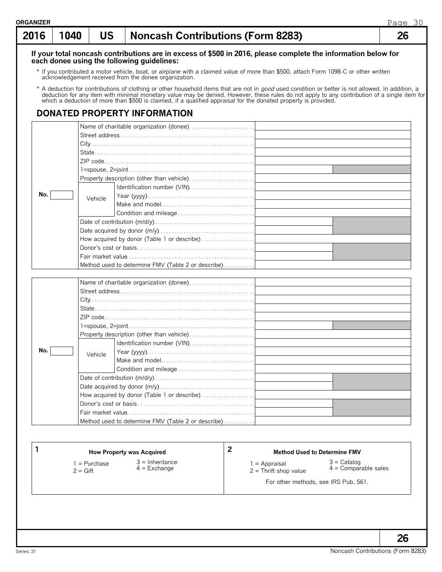| If your total noncash contributions are in excess of \$500 in 2016, please complete the information below for<br>each donee using the following guidelines:<br>* If you contributed a motor vehicle, boat, or airplane with a claimed value of more than \$500, attach Form 1098-C or other written acknowledgement received from the donee organization.<br>* A deduction for contributions of clothing or other household items that are not in good used condition or better is not allowed. In addition, a deduction for any item with minimal monetary value may be denied. However, t<br>DONATED PROPERTY INFORMATION<br>No.<br>Vehicle<br>Method used to determine FMV (Table 2 or describe) <br>No.<br>Vehicle<br>How acquired by donor (Table 1 or describe) | 2016 | 1040 | <b>US</b> | <b>Noncash Contributions (Form 8283)</b> | 26 |  |
|-----------------------------------------------------------------------------------------------------------------------------------------------------------------------------------------------------------------------------------------------------------------------------------------------------------------------------------------------------------------------------------------------------------------------------------------------------------------------------------------------------------------------------------------------------------------------------------------------------------------------------------------------------------------------------------------------------------------------------------------------------------------------|------|------|-----------|------------------------------------------|----|--|
|                                                                                                                                                                                                                                                                                                                                                                                                                                                                                                                                                                                                                                                                                                                                                                       |      |      |           |                                          |    |  |
|                                                                                                                                                                                                                                                                                                                                                                                                                                                                                                                                                                                                                                                                                                                                                                       |      |      |           |                                          |    |  |
|                                                                                                                                                                                                                                                                                                                                                                                                                                                                                                                                                                                                                                                                                                                                                                       |      |      |           |                                          |    |  |
|                                                                                                                                                                                                                                                                                                                                                                                                                                                                                                                                                                                                                                                                                                                                                                       |      |      |           |                                          |    |  |
|                                                                                                                                                                                                                                                                                                                                                                                                                                                                                                                                                                                                                                                                                                                                                                       |      |      |           |                                          |    |  |
|                                                                                                                                                                                                                                                                                                                                                                                                                                                                                                                                                                                                                                                                                                                                                                       |      |      |           |                                          |    |  |
|                                                                                                                                                                                                                                                                                                                                                                                                                                                                                                                                                                                                                                                                                                                                                                       |      |      |           |                                          |    |  |
|                                                                                                                                                                                                                                                                                                                                                                                                                                                                                                                                                                                                                                                                                                                                                                       |      |      |           |                                          |    |  |
|                                                                                                                                                                                                                                                                                                                                                                                                                                                                                                                                                                                                                                                                                                                                                                       |      |      |           |                                          |    |  |
|                                                                                                                                                                                                                                                                                                                                                                                                                                                                                                                                                                                                                                                                                                                                                                       |      |      |           |                                          |    |  |
|                                                                                                                                                                                                                                                                                                                                                                                                                                                                                                                                                                                                                                                                                                                                                                       |      |      |           |                                          |    |  |
|                                                                                                                                                                                                                                                                                                                                                                                                                                                                                                                                                                                                                                                                                                                                                                       |      |      |           |                                          |    |  |
|                                                                                                                                                                                                                                                                                                                                                                                                                                                                                                                                                                                                                                                                                                                                                                       |      |      |           |                                          |    |  |
|                                                                                                                                                                                                                                                                                                                                                                                                                                                                                                                                                                                                                                                                                                                                                                       |      |      |           |                                          |    |  |
|                                                                                                                                                                                                                                                                                                                                                                                                                                                                                                                                                                                                                                                                                                                                                                       |      |      |           |                                          |    |  |
|                                                                                                                                                                                                                                                                                                                                                                                                                                                                                                                                                                                                                                                                                                                                                                       |      |      |           |                                          |    |  |
|                                                                                                                                                                                                                                                                                                                                                                                                                                                                                                                                                                                                                                                                                                                                                                       |      |      |           |                                          |    |  |
|                                                                                                                                                                                                                                                                                                                                                                                                                                                                                                                                                                                                                                                                                                                                                                       |      |      |           |                                          |    |  |
|                                                                                                                                                                                                                                                                                                                                                                                                                                                                                                                                                                                                                                                                                                                                                                       |      |      |           |                                          |    |  |
|                                                                                                                                                                                                                                                                                                                                                                                                                                                                                                                                                                                                                                                                                                                                                                       |      |      |           |                                          |    |  |
|                                                                                                                                                                                                                                                                                                                                                                                                                                                                                                                                                                                                                                                                                                                                                                       |      |      |           |                                          |    |  |
|                                                                                                                                                                                                                                                                                                                                                                                                                                                                                                                                                                                                                                                                                                                                                                       |      |      |           |                                          |    |  |
|                                                                                                                                                                                                                                                                                                                                                                                                                                                                                                                                                                                                                                                                                                                                                                       |      |      |           |                                          |    |  |
|                                                                                                                                                                                                                                                                                                                                                                                                                                                                                                                                                                                                                                                                                                                                                                       |      |      |           |                                          |    |  |
|                                                                                                                                                                                                                                                                                                                                                                                                                                                                                                                                                                                                                                                                                                                                                                       |      |      |           |                                          |    |  |
|                                                                                                                                                                                                                                                                                                                                                                                                                                                                                                                                                                                                                                                                                                                                                                       |      |      |           |                                          |    |  |
|                                                                                                                                                                                                                                                                                                                                                                                                                                                                                                                                                                                                                                                                                                                                                                       |      |      |           |                                          |    |  |
|                                                                                                                                                                                                                                                                                                                                                                                                                                                                                                                                                                                                                                                                                                                                                                       |      |      |           |                                          |    |  |
|                                                                                                                                                                                                                                                                                                                                                                                                                                                                                                                                                                                                                                                                                                                                                                       |      |      |           |                                          |    |  |
|                                                                                                                                                                                                                                                                                                                                                                                                                                                                                                                                                                                                                                                                                                                                                                       |      |      |           |                                          |    |  |
|                                                                                                                                                                                                                                                                                                                                                                                                                                                                                                                                                                                                                                                                                                                                                                       |      |      |           |                                          |    |  |
|                                                                                                                                                                                                                                                                                                                                                                                                                                                                                                                                                                                                                                                                                                                                                                       |      |      |           |                                          |    |  |
|                                                                                                                                                                                                                                                                                                                                                                                                                                                                                                                                                                                                                                                                                                                                                                       |      |      |           |                                          |    |  |
|                                                                                                                                                                                                                                                                                                                                                                                                                                                                                                                                                                                                                                                                                                                                                                       |      |      |           |                                          |    |  |
|                                                                                                                                                                                                                                                                                                                                                                                                                                                                                                                                                                                                                                                                                                                                                                       |      |      |           |                                          |    |  |
|                                                                                                                                                                                                                                                                                                                                                                                                                                                                                                                                                                                                                                                                                                                                                                       |      |      |           |                                          |    |  |
| Method used to determine FMV (Table 2 or describe)                                                                                                                                                                                                                                                                                                                                                                                                                                                                                                                                                                                                                                                                                                                    |      |      |           |                                          |    |  |

**1 How Property was Acquired**

- $1$  = Purchase
- $2 =$  Gift

3 = Inheritance

- 
- 4 = Exchange

## **2 Method Used to Determine FMV**

1 = Appraisal

3 = Catalog 4 = Comparable sales

- $2 =$ Thrift shop value
	- For other methods, see IRS Pub. 561.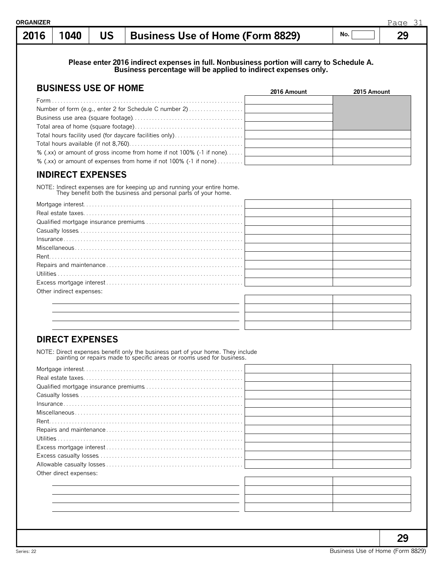| 2016 | 1040                        | <b>US</b> | <b>Business Use of Home (Form 8829)</b>                                                    |             | No.         | 29 |
|------|-----------------------------|-----------|--------------------------------------------------------------------------------------------|-------------|-------------|----|
|      |                             |           |                                                                                            |             |             |    |
|      |                             |           | Please enter 2016 indirect expenses in full. Nonbusiness portion will carry to Schedule A. |             |             |    |
|      |                             |           | Business percentage will be applied to indirect expenses only.                             |             |             |    |
|      | <b>BUSINESS USE OF HOME</b> |           |                                                                                            | 2016 Amount | 2015 Amount |    |
|      |                             |           |                                                                                            |             |             |    |
|      |                             |           | Number of form (e.g., enter 2 for Schedule C number 2)                                     |             |             |    |
|      |                             |           |                                                                                            |             |             |    |
|      |                             |           |                                                                                            |             |             |    |
|      |                             |           |                                                                                            |             |             |    |
|      |                             |           | Total hours facility used (for daycare facilities only)                                    |             |             |    |
|      |                             |           |                                                                                            |             |             |    |

#### **INDIRECT EXPENSES**

NOTE: Indirect expenses are for keeping up and running your entire home. They benefit both the business and personal parts of your home.

% (.xx) or amount of expenses from home if not 100% (-1 if none) . . . . . . . . .

| Other indirect expenses: |  |
|--------------------------|--|
|                          |  |

#### **DIRECT EXPENSES**

NOTE: Direct expenses benefit only the business part of your home. They include painting or repairs made to specific areas or rooms used for business.

| Other direct expenses: |  |
|------------------------|--|
|                        |  |
|                        |  |
|                        |  |
|                        |  |

**29**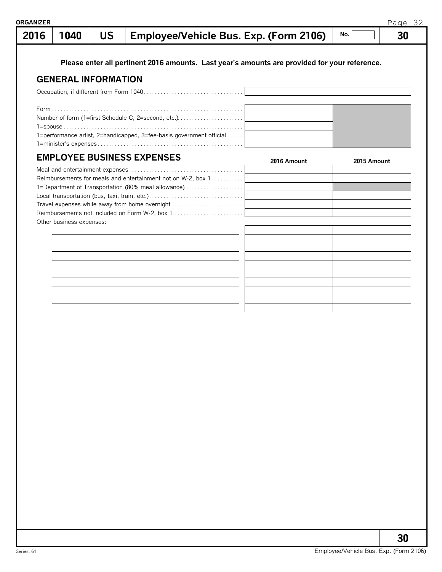| . |  |                                                                                              | $-000$ |
|---|--|----------------------------------------------------------------------------------------------|--------|
|   |  | 2016 │ 1040 │  US  │ Employee/Vehicle Bus. Exp. (Form 2106) │ <sup>No.</sup> $\Box$ │     30 |        |

**Please enter all pertinent 2016 amounts. Last year's amounts are provided for your reference.**

#### **GENERAL INFORMATION**

| Number of form (1=first Schedule C, 2=second, etc.)<br>1=performance artist, 2=handicapped, 3=fee-basis government official |  |
|-----------------------------------------------------------------------------------------------------------------------------|--|

#### **EMPLOYEE BUSINESS EXPENSES**

| EMPLUTEE BUSINESS EXPENSES                                   | 2016 Amount | 2015 Amount |
|--------------------------------------------------------------|-------------|-------------|
|                                                              |             |             |
| Reimbursements for meals and entertainment not on W-2, box 1 |             |             |
| 1=Department of Transportation (80% meal allowance)          |             |             |
|                                                              |             |             |
| Travel expenses while away from home overnight               |             |             |
| Reimbursements not included on Form W-2, box 1               |             |             |
| Other business expenses:                                     |             |             |
|                                                              |             |             |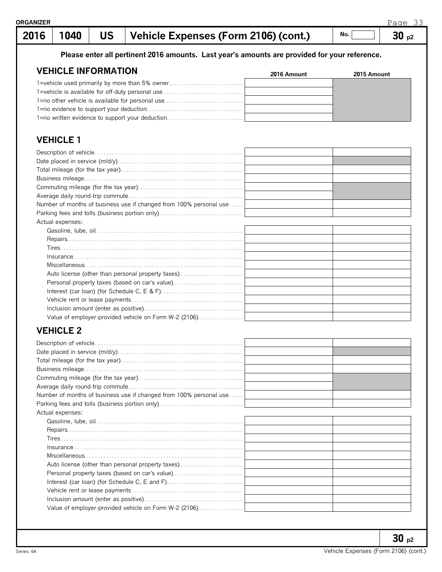### **Please enter all pertinent 2016 amounts. Last year's amounts are provided for your reference. VEHICLE INFORMATION 1040 US Vehicle Expenses (Form 2106) (cont.) 30 p2 No. 2016 2016 Amount 2015 Amount**

| 1=vehicle used primarily by more than 5% owner   |  |
|--------------------------------------------------|--|
|                                                  |  |
| 1=no other vehicle is available for personal use |  |
|                                                  |  |
| 1=no written evidence to support your deduction  |  |

#### **VEHICLE 1**

| Number of months of business use if changed from 100% personal use |  |
|--------------------------------------------------------------------|--|
| Parking fees and tolls (business portion only)                     |  |
| Actual expenses:                                                   |  |
|                                                                    |  |
|                                                                    |  |
|                                                                    |  |
|                                                                    |  |
|                                                                    |  |
| Auto license (other than personal property taxes)                  |  |
| Personal property taxes (based on car's value)                     |  |
|                                                                    |  |
|                                                                    |  |
|                                                                    |  |
| Value of employer-provided vehicle on Form W-2 (2106).             |  |

#### **VEHICLE 2**

| Number of months of business use if changed from 100% personal use |
|--------------------------------------------------------------------|
| Parking fees and tolls (business portion only)                     |
| Actual expenses:                                                   |
|                                                                    |
|                                                                    |
|                                                                    |
|                                                                    |
|                                                                    |
| Auto license (other than personal property taxes)                  |
| Personal property taxes (based on car's value)                     |
|                                                                    |
|                                                                    |
|                                                                    |
| Value of employer-provided vehicle on Form W-2 (2106)              |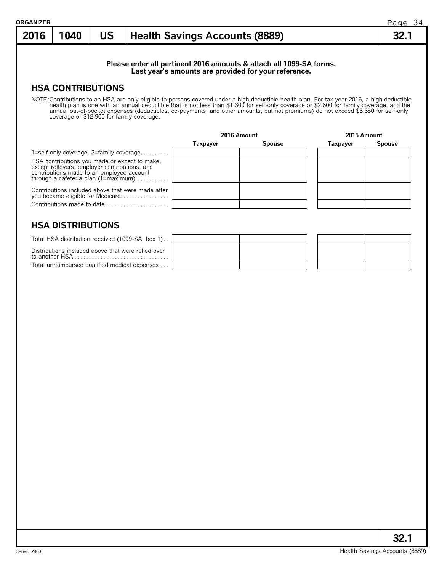|                                                                                                                             |                          |                                                                                                                                                                                                                                                                                                                                                                                                                               |                                       |               |             | Page 34       |  |
|-----------------------------------------------------------------------------------------------------------------------------|--------------------------|-------------------------------------------------------------------------------------------------------------------------------------------------------------------------------------------------------------------------------------------------------------------------------------------------------------------------------------------------------------------------------------------------------------------------------|---------------------------------------|---------------|-------------|---------------|--|
| 2016                                                                                                                        | 1040<br><b>US</b>        |                                                                                                                                                                                                                                                                                                                                                                                                                               | <b>Health Savings Accounts (8889)</b> |               |             | 32.1          |  |
| Please enter all pertinent 2016 amounts & attach all 1099-SA forms.<br>Last year's amounts are provided for your reference. |                          |                                                                                                                                                                                                                                                                                                                                                                                                                               |                                       |               |             |               |  |
|                                                                                                                             | <b>HSA CONTRIBUTIONS</b> |                                                                                                                                                                                                                                                                                                                                                                                                                               |                                       |               |             |               |  |
|                                                                                                                             |                          | NOTE: Contributions to an HSA are only eligible to persons covered under a high deductible health plan. For tax year 2016, a high deductible<br>health plan is one with an annual deductible that is not less than \$1,300 for self-only coverage or \$2,600 for family coverage, and the annual out-of-pocket expenses (deductibles, co-payments, and other amounts, but not pr<br>coverage or \$12,900 for family coverage. | 2016 Amount                           |               | 2015 Amount |               |  |
|                                                                                                                             |                          |                                                                                                                                                                                                                                                                                                                                                                                                                               | Taxpayer                              | <b>Spouse</b> | Taxpayer    | <b>Spouse</b> |  |
|                                                                                                                             |                          | $1 = self-only coverage, 2 = family coverage, \ldots \ldots$                                                                                                                                                                                                                                                                                                                                                                  |                                       |               |             |               |  |
|                                                                                                                             |                          |                                                                                                                                                                                                                                                                                                                                                                                                                               |                                       |               |             |               |  |
|                                                                                                                             |                          | HSA contributions you made or expect to make,<br>except rollovers, employer contributions, and<br>contributions made to an employee account<br>through a cafeteria plan $(1 = maximum)$                                                                                                                                                                                                                                       |                                       |               |             |               |  |
|                                                                                                                             |                          | Contributions included above that were made after<br>you became eligible for Medicare                                                                                                                                                                                                                                                                                                                                         |                                       |               |             |               |  |

| Total HSA distribution received (1099-SA, box 1).                                                                         |  |  |  |
|---------------------------------------------------------------------------------------------------------------------------|--|--|--|
| Distributions included above that were rolled over<br>to another HSA $\ldots$ , $\ldots$ , $\ldots$ , $\ldots$ , $\ldots$ |  |  |  |
| Total unreimbursed qualified medical expenses                                                                             |  |  |  |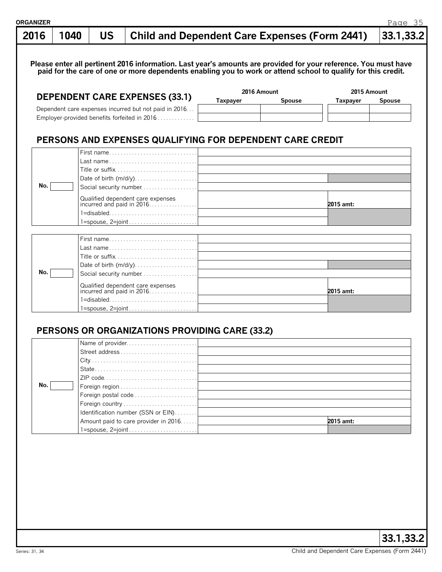|     |  |                                                                                                       |          | 2016 Amount   | 2015 Amount     |               |
|-----|--|-------------------------------------------------------------------------------------------------------|----------|---------------|-----------------|---------------|
|     |  | <b>DEPENDENT CARE EXPENSES (33.1)</b>                                                                 | Taxpayer | <b>Spouse</b> | <b>Taxpayer</b> | <b>Spouse</b> |
|     |  | Dependent care expenses incurred but not paid in 2016<br>Employer-provided benefits forfeited in 2016 |          |               |                 |               |
|     |  | PERSONS AND EXPENSES QUALIFYING FOR DEPENDENT CARE CREDIT                                             |          |               |                 |               |
|     |  | First name                                                                                            |          |               |                 |               |
|     |  | Last name                                                                                             |          |               |                 |               |
|     |  | Title or suffix                                                                                       |          |               |                 |               |
| No. |  | Social security number                                                                                |          |               |                 |               |
|     |  |                                                                                                       |          |               |                 |               |
|     |  | Qualified dependent care expenses<br>incurred and paid in 2016                                        |          |               | 2015 amt:       |               |
|     |  | 1=disabled                                                                                            |          |               |                 |               |
|     |  |                                                                                                       |          |               |                 |               |
|     |  | First name                                                                                            |          |               |                 |               |
|     |  | Last name                                                                                             |          |               |                 |               |
|     |  | Title or suffix                                                                                       |          |               |                 |               |
|     |  |                                                                                                       |          |               |                 |               |
| No. |  | Social security number                                                                                |          |               |                 |               |
|     |  | Qualified dependent care expenses<br>incurred and paid in 2016                                        |          |               |                 |               |
|     |  | 1=disabled                                                                                            |          |               | 2015 amt:       |               |
|     |  |                                                                                                       |          |               |                 |               |
|     |  | PERSONS OR ORGANIZATIONS PROVIDING CARE (33.2)                                                        |          |               |                 |               |
|     |  | Name of provider                                                                                      |          |               |                 |               |
|     |  | Street address                                                                                        |          |               |                 |               |
|     |  |                                                                                                       |          |               |                 |               |
|     |  |                                                                                                       |          |               |                 |               |
| No. |  |                                                                                                       |          |               |                 |               |
|     |  |                                                                                                       |          |               |                 |               |
|     |  |                                                                                                       |          |               |                 |               |
|     |  | Identification number (SSN or EIN)                                                                    |          |               |                 |               |
|     |  | Amount paid to care provider in 2016. [                                                               |          |               | 2015 amt:       |               |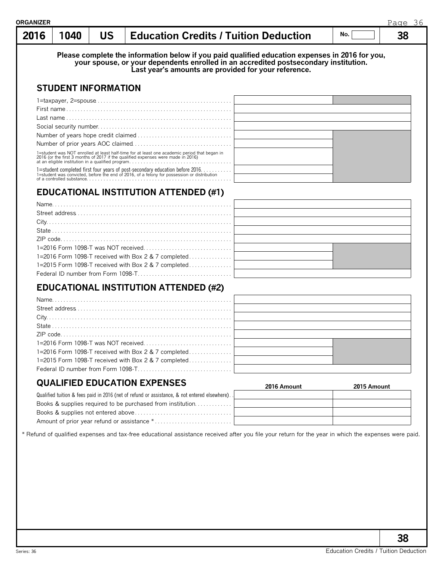| 2016 | 1040                                                                                                                                                                                                                                 | <b>US</b> | <b>Education Credits / Tuition Deduction</b>                                                                                                                                                                                                                                                                                                                                                                                                                                                                                                                                                                                                                                                                                                                                                                                                                                                                                                                                                                                                                                                                                  | No.         | 38 |  |  |
|------|--------------------------------------------------------------------------------------------------------------------------------------------------------------------------------------------------------------------------------------|-----------|-------------------------------------------------------------------------------------------------------------------------------------------------------------------------------------------------------------------------------------------------------------------------------------------------------------------------------------------------------------------------------------------------------------------------------------------------------------------------------------------------------------------------------------------------------------------------------------------------------------------------------------------------------------------------------------------------------------------------------------------------------------------------------------------------------------------------------------------------------------------------------------------------------------------------------------------------------------------------------------------------------------------------------------------------------------------------------------------------------------------------------|-------------|----|--|--|
|      | Please complete the information below if you paid qualified education expenses in 2016 for you,<br>your spouse, or your dependents enrolled in an accredited postsecondary institution.<br>Last year's amounts are provided for your |           |                                                                                                                                                                                                                                                                                                                                                                                                                                                                                                                                                                                                                                                                                                                                                                                                                                                                                                                                                                                                                                                                                                                               |             |    |  |  |
|      | <b>STUDENT INFORMATION</b>                                                                                                                                                                                                           |           |                                                                                                                                                                                                                                                                                                                                                                                                                                                                                                                                                                                                                                                                                                                                                                                                                                                                                                                                                                                                                                                                                                                               |             |    |  |  |
|      |                                                                                                                                                                                                                                      |           | 1=student was NOT enrolled at least half-time for at least one academic period that began in 2016 (or the first 3 months of 2017 if the qualified expenses were made in 2016)<br>at an eligible institution in a qualified progra<br>1=student completed first four years of post-secondary education before 2016<br>1=student was convicted, before the end of 2016, of a felony for possession or distribution<br><b>EDUCATIONAL INSTITUTION ATTENDED (#1)</b><br>1=2016 Form 1098-T received with Box 2 & 7 completed<br>1=2015 Form 1098-T received with Box 2 & 7 completed<br><b>EDUCATIONAL INSTITUTION ATTENDED (#2)</b><br>1=2016 Form 1098-T received with Box 2 & 7 completed<br>1=2015 Form 1098-T received with Box 2 & 7 completed<br><b>QUALIFIED EDUCATION EXPENSES</b><br>2016 Amount<br>Qualified tuition & fees paid in 2016 (net of refund or assistance, & not entered elsewhere).<br>Books & supplies required to be purchased from institution<br>* Refund of qualified expenses and tax-free educational assistance received after you file your return for the year in which the expenses were paid. | 2015 Amount |    |  |  |
|      |                                                                                                                                                                                                                                      |           |                                                                                                                                                                                                                                                                                                                                                                                                                                                                                                                                                                                                                                                                                                                                                                                                                                                                                                                                                                                                                                                                                                                               |             |    |  |  |
|      |                                                                                                                                                                                                                                      |           |                                                                                                                                                                                                                                                                                                                                                                                                                                                                                                                                                                                                                                                                                                                                                                                                                                                                                                                                                                                                                                                                                                                               |             |    |  |  |
|      |                                                                                                                                                                                                                                      |           |                                                                                                                                                                                                                                                                                                                                                                                                                                                                                                                                                                                                                                                                                                                                                                                                                                                                                                                                                                                                                                                                                                                               |             | 38 |  |  |

**ORGANIZER**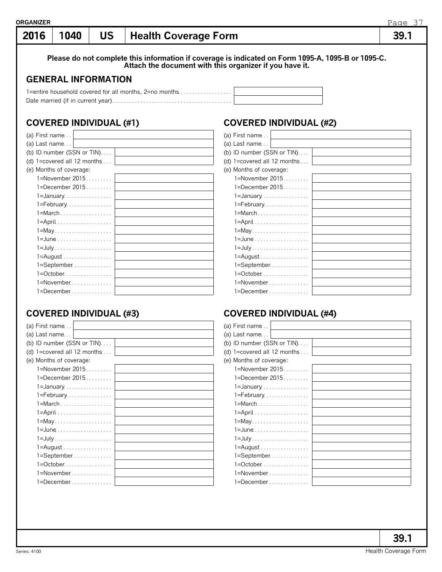**Please do not complete this information if coverage is indicated on Form 1095-A, 1095-B or 1095-C. Attach the document with this organizer if you have it.**

#### **COVERED INDIVIDUAL (#1)**

**ORGANIZER**

| (a) First name $\ldots$                        |               |                                                                                                                             |
|------------------------------------------------|---------------|-----------------------------------------------------------------------------------------------------------------------------|
|                                                | (a) Last name |                                                                                                                             |
| (b) ID number (SSN or TIN)                     |               |                                                                                                                             |
| (d) 1=covered all 12 months $\dots$            |               |                                                                                                                             |
| (e) Months of coverage:                        |               |                                                                                                                             |
| $1 =$ November 2015                            |               | 1=November 2015                                                                                                             |
| $1 =$ December 2015                            |               | $1 =$ December 2015                                                                                                         |
| $1 =$ January                                  |               | 1=January                                                                                                                   |
| $1 = February. \ldots \ldots \ldots \ldots$    |               | 1=February                                                                                                                  |
| $1 = March 1, 1, 1, 1, 1, 1, 1, 1, 1, 1$       |               | $1 = March \dots \dots \dots \dots \dots \dots$                                                                             |
|                                                |               |                                                                                                                             |
|                                                |               | $1=May$                                                                                                                     |
| $1 = June \dots \dots \dots \dots \dots \dots$ |               |                                                                                                                             |
|                                                |               | $1 = July \dots  \dots  \dots $                                                                                             |
| $1 = August \dots \dots \dots \dots \dots$     |               | $1 = August \dots \dots \dots \dots \dots$                                                                                  |
| 1=September                                    |               | 1=September                                                                                                                 |
|                                                |               | $1 = October \dots \dots \dots \dots \dots$                                                                                 |
| $1 = \text{November} \dots \dots \dots \dots$  |               | $1 = \text{November} \dots \dots \dots \dots$                                                                               |
| $1 = December \ldots \ldots \ldots$            |               | $1 = December \ldots \ldots \ldots$                                                                                         |
|                                                |               | (a) First name $\therefore$<br>(b) ID number (SSN or TIN)<br>(d) 1=covered all 12 months $\dots$<br>(e) Months of coverage: |

### **COVERED INDIVIDUAL (#3) COVERED INDIVIDUAL (#4)**

| (a) First name $\ldots$             |                                               |  |
|-------------------------------------|-----------------------------------------------|--|
| (a) Last name                       |                                               |  |
| (b) ID number (SSN or TIN)          |                                               |  |
| (d) 1=covered all 12 months $\dots$ |                                               |  |
| (e) Months of coverage:             |                                               |  |
|                                     | $1 =$ November 2015                           |  |
|                                     | 1=December 2015                               |  |
|                                     | $1 =$ January                                 |  |
|                                     | $1 =$ February                                |  |
|                                     | 1=March                                       |  |
|                                     |                                               |  |
|                                     | 1=May                                         |  |
|                                     |                                               |  |
|                                     |                                               |  |
|                                     | $1 =$ August                                  |  |
|                                     | $1 = September. \ldots \ldots \ldots$         |  |
|                                     | $1 = October. \ldots \ldots \ldots \ldots$    |  |
|                                     | $1 = \text{November} \dots \dots \dots \dots$ |  |
|                                     | 1=December                                    |  |

#### **COVERED INDIVIDUAL (#2)**

| (a) First name $\ldots$             |                                            |  |
|-------------------------------------|--------------------------------------------|--|
| (a) Last name                       |                                            |  |
| (b) ID number (SSN or TIN)          |                                            |  |
| (d) 1=covered all 12 months $\dots$ |                                            |  |
| (e) Months of coverage:             |                                            |  |
|                                     | 1=November 2015                            |  |
|                                     | 1=December $2015$                          |  |
|                                     | $1 =$ January                              |  |
|                                     | 1=February                                 |  |
|                                     | 1=March                                    |  |
|                                     |                                            |  |
|                                     | $1=May$                                    |  |
|                                     |                                            |  |
|                                     | 1=July                                     |  |
|                                     | $1 = August \dots \dots \dots \dots \dots$ |  |
|                                     | $1 = September. \ldots \ldots \ldots$      |  |
|                                     | 1=October                                  |  |
| $1 =$ November                      |                                            |  |
| 1=December                          |                                            |  |

| (a) First name                                |  |
|-----------------------------------------------|--|
| (a) Last name                                 |  |
| (b) ID number (SSN or TIN)                    |  |
| (d) 1=covered all 12 months $\dots$           |  |
| (e) Months of coverage:                       |  |
| 1=November 2015                               |  |
| $1 =$ December 2015                           |  |
| $1 =$ January                                 |  |
| 1=February                                    |  |
| 1=March                                       |  |
|                                               |  |
|                                               |  |
|                                               |  |
| 1=July                                        |  |
| 1=August                                      |  |
| $1 = September. \ldots. \ldots.$              |  |
| $1 = October \dots \dots \dots \dots \dots$   |  |
| $1 = \text{November} \dots \dots \dots \dots$ |  |
| $1 = December \ldots \ldots \ldots \ldots$    |  |
|                                               |  |

Series: 4100